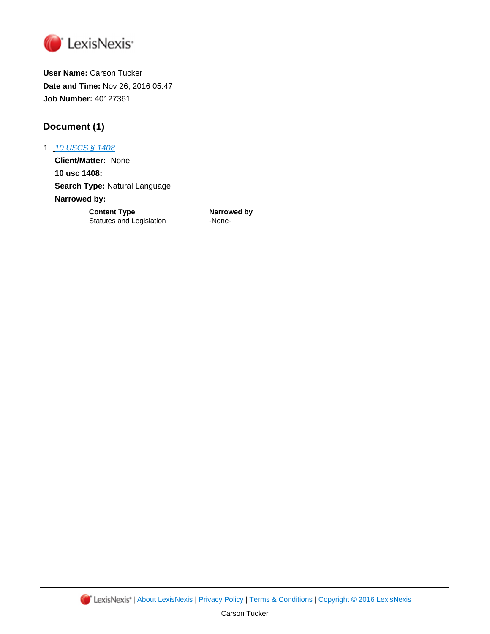

**User Name:** Carson Tucker **Date and Time:** Nov 26, 2016 05:47 **Job Number:** 40127361

## **Document (1)**

1. 10 [USCS](http://advance.lexis.com/api/document?id=urn:contentItem:4YF7-GR01-NRF4-43KP-00000-00&idtype=PID&context=1000516) § 1408

**Client/Matter:** -None-**10 usc 1408: Search Type:** Natural Language **Narrowed by:**

> **Content Type**<br> **Content Type**<br> **Content Content Content Content Content Content Content Content Content Content Content Content Content Content Content Content Content Content Content Content Content Content Content Conte** Statutes and Legislation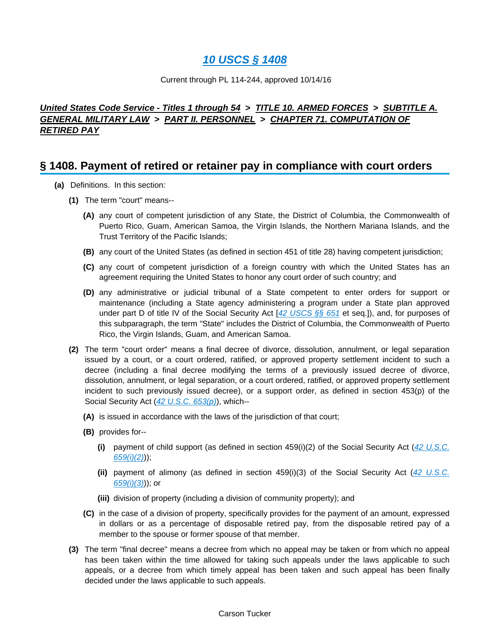# **10 [USCS](http://advance.lexis.com/api/document?collection=statutes-legislation&id=urn:contentItem:4YF7-GR01-NRF4-43KP-00000-00&context=) § 1408**

Current through PL 114-244, approved 10/14/16

## **United States Code Service - Titles 1 through 54 > TITLE 10. ARMED FORCES > SUBTITLE A. GENERAL MILITARY LAW > PART II. PERSONNEL > CHAPTER 71. COMPUTATION OF RETIRED PAY**

# **§ 1408. Payment of retired or retainer pay in compliance with court orders**

- **(a)** Definitions. In this section:
	- **(1)** The term "court" means--
		- **(A)** any court of competent jurisdiction of any State, the District of Columbia, the Commonwealth of Puerto Rico, Guam, American Samoa, the Virgin Islands, the Northern Mariana Islands, and the Trust Territory of the Pacific Islands;
		- **(B)** any court of the United States (as defined in section 451 of title 28) having competent jurisdiction;
		- **(C)** any court of competent jurisdiction of a foreign country with which the United States has an agreement requiring the United States to honor any court order of such country; and
		- **(D)** any administrative or judicial tribunal of a State competent to enter orders for support or maintenance (including a State agency administering a program under a State plan approved under part D of title IV of the Social Security Act  $[42 \text{ USCS} \text{ } \S \S$  $[42 \text{ USCS} \text{ } \S \S$  $[42 \text{ USCS} \text{ } \S \S$  651 et seq.]), and, for purposes of this subparagraph, the term "State" includes the District of Columbia, the Commonwealth of Puerto Rico, the Virgin Islands, Guam, and American Samoa.
	- **(2)** The term "court order" means a final decree of divorce, dissolution, annulment, or legal separation issued by a court, or a court ordered, ratified, or approved property settlement incident to such a decree (including a final decree modifying the terms of a previously issued decree of divorce, dissolution, annulment, or legal separation, or a court ordered, ratified, or approved property settlement incident to such previously issued decree), or a support order, as defined in section 453(p) of the Social Security Act (42 [U.S.C.](http://advance.lexis.com/api/document?collection=statutes-legislation&id=urn:contentItem:4YF7-GPD1-NRF4-43BS-00000-00&context=) 653(p)), which--
		- **(A)** is issued in accordance with the laws of the jurisdiction of that court;
		- **(B)** provides for--
			- **(i)** payment of child support (as defined in section 459(i)(2) of the Social Security Act (42 [U.S.C.](http://advance.lexis.com/api/document?collection=statutes-legislation&id=urn:contentItem:4YF7-GSV1-NRF4-4182-00000-00&context=)  $659(i)(2))$  $659(i)(2))$ ;
			- **(ii)** payment of alimony (as defined in section 459(i)(3) of the Social Security Act (42 [U.S.C.](http://advance.lexis.com/api/document?collection=statutes-legislation&id=urn:contentItem:4YF7-GSV1-NRF4-4182-00000-00&context=)  $659(i)(3))$  $659(i)(3))$ ; or
			- **(iii)** division of property (including a division of community property); and
		- **(C)** in the case of a division of property, specifically provides for the payment of an amount, expressed in dollars or as a percentage of disposable retired pay, from the disposable retired pay of a member to the spouse or former spouse of that member.
	- **(3)** The term "final decree" means a decree from which no appeal may be taken or from which no appeal has been taken within the time allowed for taking such appeals under the laws applicable to such appeals, or a decree from which timely appeal has been taken and such appeal has been finally decided under the laws applicable to such appeals.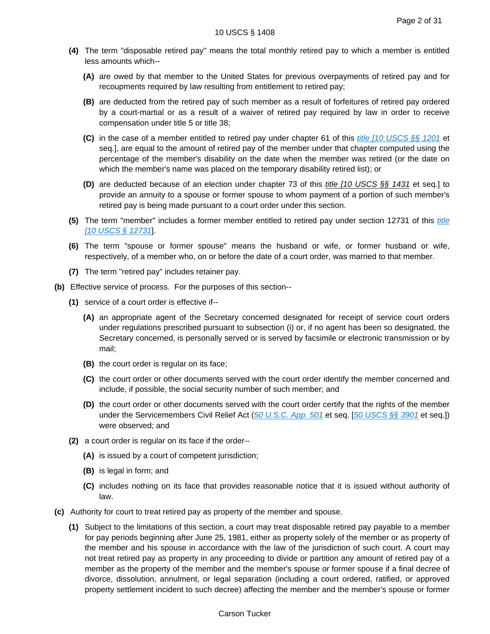- **(4)** The term "disposable retired pay" means the total monthly retired pay to which a member is entitled less amounts which--
	- **(A)** are owed by that member to the United States for previous overpayments of retired pay and for recoupments required by law resulting from entitlement to retired pay;
	- **(B)** are deducted from the retired pay of such member as a result of forfeitures of retired pay ordered by a court-martial or as a result of a waiver of retired pay required by law in order to receive compensation under title 5 or title 38;
	- **(C)** in the case of a member entitled to retired pay under chapter 61 of this title [10 [USCS](http://advance.lexis.com/api/document?collection=statutes-legislation&id=urn:contentItem:4YF7-GKW1-NRF4-440S-00000-00&context=) §§ 1201 et seq.], are equal to the amount of retired pay of the member under that chapter computed using the percentage of the member's disability on the date when the member was retired (or the date on which the member's name was placed on the temporary disability retired list); or
	- **(D)** are deducted because of an election under chapter 73 of this *title [10 USCS §§ 1431* et seq.] to provide an annuity to a spouse or former spouse to whom payment of a portion of such member's retired pay is being made pursuant to a court order under this section.
- (5) The term "member" includes a former member en[title](http://advance.lexis.com/api/document?collection=statutes-legislation&id=urn:contentItem:4YF7-GMD1-NRF4-445M-00000-00&context=)d to retired pay under section 12731 of this *title* [10 [USCS](http://advance.lexis.com/api/document?collection=statutes-legislation&id=urn:contentItem:4YF7-GMD1-NRF4-445M-00000-00&context=) § 12731].
- **(6)** The term "spouse or former spouse" means the husband or wife, or former husband or wife, respectively, of a member who, on or before the date of a court order, was married to that member.
- **(7)** The term "retired pay" includes retainer pay.
- **(b)** Effective service of process. For the purposes of this section--
	- **(1)** service of a court order is effective if--
		- **(A)** an appropriate agent of the Secretary concerned designated for receipt of service court orders under regulations prescribed pursuant to subsection (i) or, if no agent has been so designated, the Secretary concerned, is personally served or is served by facsimile or electronic transmission or by mail;
		- **(B)** the court order is regular on its face;
		- **(C)** the court order or other documents served with the court order identify the member concerned and include, if possible, the social security number of such member; and
		- **(D)** the court order or other documents served with the court order certify that the rights of the member under the Servicemembers Civil Relief Act (50 [U.S.C.](http://advance.lexis.com/api/document?collection=statutes-legislation&id=urn:contentItem:4YF7-GSN1-NRF4-44TY-00000-00&context=) App. 501 et seq. [50 [USCS](http://advance.lexis.com/api/document?collection=statutes-legislation&id=urn:contentItem:5HCY-GSY1-NRF4-4001-00000-00&context=) §§ 3901 et seq.]) were observed; and
	- **(2)** a court order is regular on its face if the order--
		- **(A)** is issued by a court of competent jurisdiction;
		- **(B)** is legal in form; and
		- **(C)** includes nothing on its face that provides reasonable notice that it is issued without authority of law.
- **(c)** Authority for court to treat retired pay as property of the member and spouse.
	- **(1)** Subject to the limitations of this section, a court may treat disposable retired pay payable to a member for pay periods beginning after June 25, 1981, either as property solely of the member or as property of the member and his spouse in accordance with the law of the jurisdiction of such court. A court may not treat retired pay as property in any proceeding to divide or partition any amount of retired pay of a member as the property of the member and the member's spouse or former spouse if a final decree of divorce, dissolution, annulment, or legal separation (including a court ordered, ratified, or approved property settlement incident to such decree) affecting the member and the member's spouse or former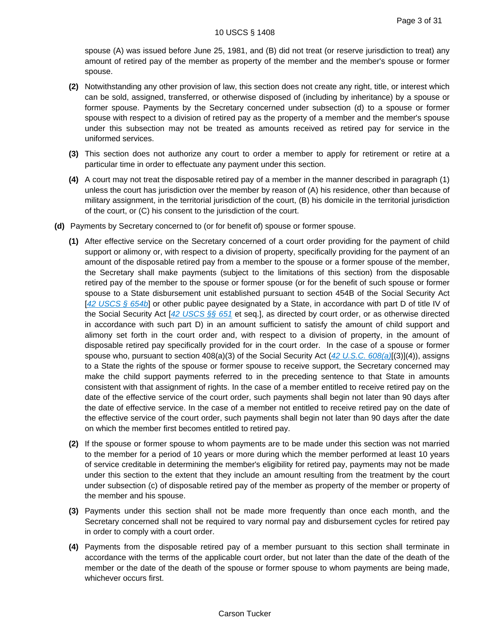spouse (A) was issued before June 25, 1981, and (B) did not treat (or reserve jurisdiction to treat) any amount of retired pay of the member as property of the member and the member's spouse or former spouse.

- **(2)** Notwithstanding any other provision of law, this section does not create any right, title, or interest which can be sold, assigned, transferred, or otherwise disposed of (including by inheritance) by a spouse or former spouse. Payments by the Secretary concerned under subsection (d) to a spouse or former spouse with respect to a division of retired pay as the property of a member and the member's spouse under this subsection may not be treated as amounts received as retired pay for service in the uniformed services.
- **(3)** This section does not authorize any court to order a member to apply for retirement or retire at a particular time in order to effectuate any payment under this section.
- **(4)** A court may not treat the disposable retired pay of a member in the manner described in paragraph (1) unless the court has jurisdiction over the member by reason of (A) his residence, other than because of military assignment, in the territorial jurisdiction of the court, (B) his domicile in the territorial jurisdiction of the court, or (C) his consent to the jurisdiction of the court.
- **(d)** Payments by Secretary concerned to (or for benefit of) spouse or former spouse.
	- **(1)** After effective service on the Secretary concerned of a court order providing for the payment of child support or alimony or, with respect to a division of property, specifically providing for the payment of an amount of the disposable retired pay from a member to the spouse or a former spouse of the member, the Secretary shall make payments (subject to the limitations of this section) from the disposable retired pay of the member to the spouse or former spouse (or for the benefit of such spouse or former spouse to a State disbursement unit established pursuant to section 454B of the Social Security Act [42 [USCS](http://advance.lexis.com/api/document?collection=statutes-legislation&id=urn:contentItem:4YF7-GMB1-NRF4-43FS-00000-00&context=)  $\S 654b$ ] or other public payee designated by a State, in accordance with part D of title IV of the Social Security Act  $[42 \text{ USCS } \S \S 651$  $[42 \text{ USCS } \S \S 651$  $[42 \text{ USCS } \S \S 651$  et seq.], as directed by court order, or as otherwise directed in accordance with such part D) in an amount sufficient to satisfy the amount of child support and alimony set forth in the court order and, with respect to a division of property, in the amount of disposable retired pay specifically provided for in the court order. In the case of a spouse or former spouse who, pursuant to section  $408(a)(3)$  of the Social Security Act  $(42 \text{ U.S.C. } 608(a)(3)(4))$  $(42 \text{ U.S.C. } 608(a)(3)(4))$  $(42 \text{ U.S.C. } 608(a)(3)(4))$ , assigns to a State the rights of the spouse or former spouse to receive support, the Secretary concerned may make the child support payments referred to in the preceding sentence to that State in amounts consistent with that assignment of rights. In the case of a member entitled to receive retired pay on the date of the effective service of the court order, such payments shall begin not later than 90 days after the date of effective service. In the case of a member not entitled to receive retired pay on the date of the effective service of the court order, such payments shall begin not later than 90 days after the date on which the member first becomes entitled to retired pay.
	- **(2)** If the spouse or former spouse to whom payments are to be made under this section was not married to the member for a period of 10 years or more during which the member performed at least 10 years of service creditable in determining the member's eligibility for retired pay, payments may not be made under this section to the extent that they include an amount resulting from the treatment by the court under subsection (c) of disposable retired pay of the member as property of the member or property of the member and his spouse.
	- **(3)** Payments under this section shall not be made more frequently than once each month, and the Secretary concerned shall not be required to vary normal pay and disbursement cycles for retired pay in order to comply with a court order.
	- **(4)** Payments from the disposable retired pay of a member pursuant to this section shall terminate in accordance with the terms of the applicable court order, but not later than the date of the death of the member or the date of the death of the spouse or former spouse to whom payments are being made, whichever occurs first.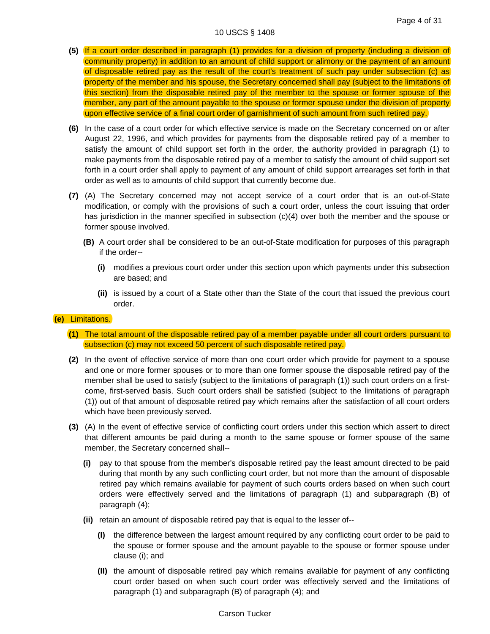- **(5)** If a court order described in paragraph (1) provides for a division of property (including a division of community property) in addition to an amount of child support or alimony or the payment of an amount of disposable retired pay as the result of the court's treatment of such pay under subsection (c) as property of the member and his spouse, the Secretary concerned shall pay (subject to the limitations of this section) from the disposable retired pay of the member to the spouse or former spouse of the member, any part of the amount payable to the spouse or former spouse under the division of property upon effective service of a final court order of garnishment of such amount from such retired pay.
- **(6)** In the case of a court order for which effective service is made on the Secretary concerned on or after August 22, 1996, and which provides for payments from the disposable retired pay of a member to satisfy the amount of child support set forth in the order, the authority provided in paragraph (1) to make payments from the disposable retired pay of a member to satisfy the amount of child support set forth in a court order shall apply to payment of any amount of child support arrearages set forth in that order as well as to amounts of child support that currently become due.
- **(7)** (A) The Secretary concerned may not accept service of a court order that is an out-of-State modification, or comply with the provisions of such a court order, unless the court issuing that order has jurisdiction in the manner specified in subsection (c)(4) over both the member and the spouse or former spouse involved.
	- **(B)** A court order shall be considered to be an out-of-State modification for purposes of this paragraph if the order--
		- **(i)** modifies a previous court order under this section upon which payments under this subsection are based; and
		- **(ii)** is issued by a court of a State other than the State of the court that issued the previous court order.
- **(e)** Limitations.
	- **(1)** The total amount of the disposable retired pay of a member payable under all court orders pursuant to subsection (c) may not exceed 50 percent of such disposable retired pay.
	- **(2)** In the event of effective service of more than one court order which provide for payment to a spouse and one or more former spouses or to more than one former spouse the disposable retired pay of the member shall be used to satisfy (subject to the limitations of paragraph (1)) such court orders on a firstcome, first-served basis. Such court orders shall be satisfied (subject to the limitations of paragraph (1)) out of that amount of disposable retired pay which remains after the satisfaction of all court orders which have been previously served.
	- **(3)** (A) In the event of effective service of conflicting court orders under this section which assert to direct that different amounts be paid during a month to the same spouse or former spouse of the same member, the Secretary concerned shall--
		- **(i)** pay to that spouse from the member's disposable retired pay the least amount directed to be paid during that month by any such conflicting court order, but not more than the amount of disposable retired pay which remains available for payment of such courts orders based on when such court orders were effectively served and the limitations of paragraph (1) and subparagraph (B) of paragraph (4);
		- **(ii)** retain an amount of disposable retired pay that is equal to the lesser of--
			- **(I)** the difference between the largest amount required by any conflicting court order to be paid to the spouse or former spouse and the amount payable to the spouse or former spouse under clause (i); and
			- **(II)** the amount of disposable retired pay which remains available for payment of any conflicting court order based on when such court order was effectively served and the limitations of paragraph (1) and subparagraph (B) of paragraph (4); and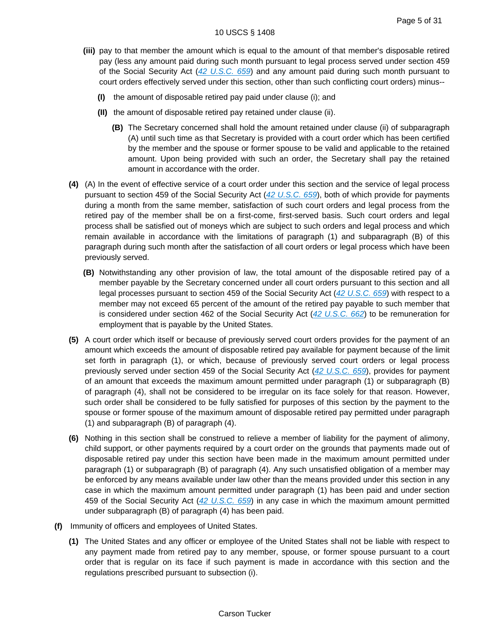- **(iii)** pay to that member the amount which is equal to the amount of that member's disposable retired pay (less any amount paid during such month pursuant to legal process served under section 459 of the Social Security Act  $(42 \text{ U.S.C. } 659)$  $(42 \text{ U.S.C. } 659)$  $(42 \text{ U.S.C. } 659)$  and any amount paid during such month pursuant to court orders effectively served under this section, other than such conflicting court orders) minus--
	- **(I)** the amount of disposable retired pay paid under clause (i); and
	- **(II)** the amount of disposable retired pay retained under clause (ii).
		- **(B)** The Secretary concerned shall hold the amount retained under clause (ii) of subparagraph (A) until such time as that Secretary is provided with a court order which has been certified by the member and the spouse or former spouse to be valid and applicable to the retained amount. Upon being provided with such an order, the Secretary shall pay the retained amount in accordance with the order.
- **(4)** (A) In the event of effective service of a court order under this section and the service of legal process pursuant to section 459 of the Social Security Act (42 [U.S.C.](http://advance.lexis.com/api/document?collection=statutes-legislation&id=urn:contentItem:4YF7-GSV1-NRF4-4182-00000-00&context=) 659), both of which provide for payments during a month from the same member, satisfaction of such court orders and legal process from the retired pay of the member shall be on a first-come, first-served basis. Such court orders and legal process shall be satisfied out of moneys which are subject to such orders and legal process and which remain available in accordance with the limitations of paragraph (1) and subparagraph (B) of this paragraph during such month after the satisfaction of all court orders or legal process which have been previously served.
	- **(B)** Notwithstanding any other provision of law, the total amount of the disposable retired pay of a member payable by the Secretary concerned under all court orders pursuant to this section and all legal processes pursuant to section 459 of the Social Security Act (42 [U.S.C.](http://advance.lexis.com/api/document?collection=statutes-legislation&id=urn:contentItem:4YF7-GSV1-NRF4-4182-00000-00&context=) 659) with respect to a member may not exceed 65 percent of the amount of the retired pay payable to such member that is considered under section 462 of the Social Security Act  $(42 \text{ U.S.C. } 662)$  $(42 \text{ U.S.C. } 662)$  $(42 \text{ U.S.C. } 662)$  to be remuneration for employment that is payable by the United States.
- **(5)** A court order which itself or because of previously served court orders provides for the payment of an amount which exceeds the amount of disposable retired pay available for payment because of the limit set forth in paragraph (1), or which, because of previously served court orders or legal process previously served under section 459 of the Social Security Act (42 [U.S.C.](http://advance.lexis.com/api/document?collection=statutes-legislation&id=urn:contentItem:4YF7-GSV1-NRF4-4182-00000-00&context=) 659), provides for payment of an amount that exceeds the maximum amount permitted under paragraph (1) or subparagraph (B) of paragraph (4), shall not be considered to be irregular on its face solely for that reason. However, such order shall be considered to be fully satisfied for purposes of this section by the payment to the spouse or former spouse of the maximum amount of disposable retired pay permitted under paragraph (1) and subparagraph (B) of paragraph (4).
- **(6)** Nothing in this section shall be construed to relieve a member of liability for the payment of alimony, child support, or other payments required by a court order on the grounds that payments made out of disposable retired pay under this section have been made in the maximum amount permitted under paragraph (1) or subparagraph (B) of paragraph (4). Any such unsatisfied obligation of a member may be enforced by any means available under law other than the means provided under this section in any case in which the maximum amount permitted under paragraph (1) has been paid and under section 459 of the Social Security Act (42 [U.S.C.](http://advance.lexis.com/api/document?collection=statutes-legislation&id=urn:contentItem:4YF7-GSV1-NRF4-4182-00000-00&context=) 659) in any case in which the maximum amount permitted under subparagraph (B) of paragraph (4) has been paid.
- **(f)** Immunity of officers and employees of United States.
	- **(1)** The United States and any officer or employee of the United States shall not be liable with respect to any payment made from retired pay to any member, spouse, or former spouse pursuant to a court order that is regular on its face if such payment is made in accordance with this section and the regulations prescribed pursuant to subsection (i).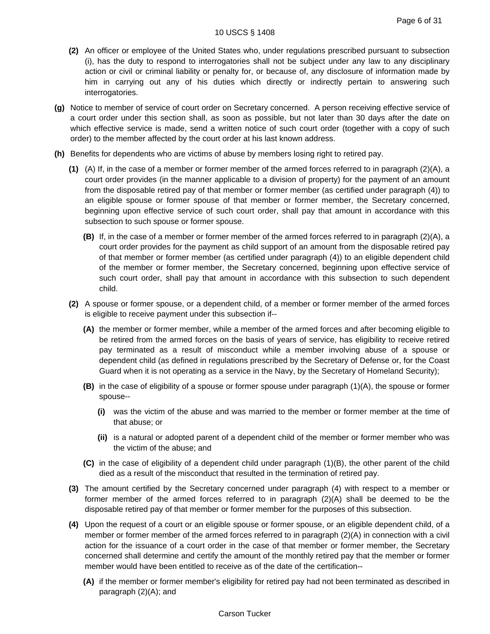- **(2)** An officer or employee of the United States who, under regulations prescribed pursuant to subsection (i), has the duty to respond to interrogatories shall not be subject under any law to any disciplinary action or civil or criminal liability or penalty for, or because of, any disclosure of information made by him in carrying out any of his duties which directly or indirectly pertain to answering such interrogatories.
- **(g)** Notice to member of service of court order on Secretary concerned. A person receiving effective service of a court order under this section shall, as soon as possible, but not later than 30 days after the date on which effective service is made, send a written notice of such court order (together with a copy of such order) to the member affected by the court order at his last known address.
- **(h)** Benefits for dependents who are victims of abuse by members losing right to retired pay.
	- **(1)** (A) If, in the case of a member or former member of the armed forces referred to in paragraph (2)(A), a court order provides (in the manner applicable to a division of property) for the payment of an amount from the disposable retired pay of that member or former member (as certified under paragraph (4)) to an eligible spouse or former spouse of that member or former member, the Secretary concerned, beginning upon effective service of such court order, shall pay that amount in accordance with this subsection to such spouse or former spouse.
		- **(B)** If, in the case of a member or former member of the armed forces referred to in paragraph (2)(A), a court order provides for the payment as child support of an amount from the disposable retired pay of that member or former member (as certified under paragraph (4)) to an eligible dependent child of the member or former member, the Secretary concerned, beginning upon effective service of such court order, shall pay that amount in accordance with this subsection to such dependent child.
	- **(2)** A spouse or former spouse, or a dependent child, of a member or former member of the armed forces is eligible to receive payment under this subsection if--
		- **(A)** the member or former member, while a member of the armed forces and after becoming eligible to be retired from the armed forces on the basis of years of service, has eligibility to receive retired pay terminated as a result of misconduct while a member involving abuse of a spouse or dependent child (as defined in regulations prescribed by the Secretary of Defense or, for the Coast Guard when it is not operating as a service in the Navy, by the Secretary of Homeland Security);
		- **(B)** in the case of eligibility of a spouse or former spouse under paragraph (1)(A), the spouse or former spouse--
			- **(i)** was the victim of the abuse and was married to the member or former member at the time of that abuse; or
			- **(ii)** is a natural or adopted parent of a dependent child of the member or former member who was the victim of the abuse; and
		- **(C)** in the case of eligibility of a dependent child under paragraph (1)(B), the other parent of the child died as a result of the misconduct that resulted in the termination of retired pay.
	- **(3)** The amount certified by the Secretary concerned under paragraph (4) with respect to a member or former member of the armed forces referred to in paragraph (2)(A) shall be deemed to be the disposable retired pay of that member or former member for the purposes of this subsection.
	- **(4)** Upon the request of a court or an eligible spouse or former spouse, or an eligible dependent child, of a member or former member of the armed forces referred to in paragraph (2)(A) in connection with a civil action for the issuance of a court order in the case of that member or former member, the Secretary concerned shall determine and certify the amount of the monthly retired pay that the member or former member would have been entitled to receive as of the date of the certification--
		- **(A)** if the member or former member's eligibility for retired pay had not been terminated as described in paragraph (2)(A); and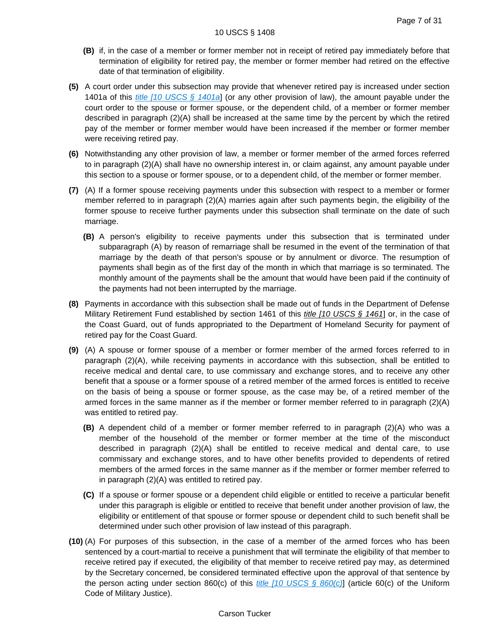- **(B)** if, in the case of a member or former member not in receipt of retired pay immediately before that termination of eligibility for retired pay, the member or former member had retired on the effective date of that termination of eligibility.
- **(5)** A court order under this subsection may provide that whenever retired pay is increased under section [1401a](http://advance.lexis.com/api/document?collection=statutes-legislation&id=urn:contentItem:4YF7-GRF1-NRF4-4306-00000-00&context=) of this title [10 USCS  $\S$  1401a] (or any other provision of law), the amount payable under the court order to the spouse or former spouse, or the dependent child, of a member or former member described in paragraph (2)(A) shall be increased at the same time by the percent by which the retired pay of the member or former member would have been increased if the member or former member were receiving retired pay.
- **(6)** Notwithstanding any other provision of law, a member or former member of the armed forces referred to in paragraph (2)(A) shall have no ownership interest in, or claim against, any amount payable under this section to a spouse or former spouse, or to a dependent child, of the member or former member.
- **(7)** (A) If a former spouse receiving payments under this subsection with respect to a member or former member referred to in paragraph (2)(A) marries again after such payments begin, the eligibility of the former spouse to receive further payments under this subsection shall terminate on the date of such marriage.
	- **(B)** A person's eligibility to receive payments under this subsection that is terminated under subparagraph (A) by reason of remarriage shall be resumed in the event of the termination of that marriage by the death of that person's spouse or by annulment or divorce. The resumption of payments shall begin as of the first day of the month in which that marriage is so terminated. The monthly amount of the payments shall be the amount that would have been paid if the continuity of the payments had not been interrupted by the marriage.
- **(8)** Payments in accordance with this subsection shall be made out of funds in the Department of Defense Military Retirement Fund established by section 1461 of this *title [10 USCS § 1461*] or, in the case of the Coast Guard, out of funds appropriated to the Department of Homeland Security for payment of retired pay for the Coast Guard.
- **(9)** (A) A spouse or former spouse of a member or former member of the armed forces referred to in paragraph (2)(A), while receiving payments in accordance with this subsection, shall be entitled to receive medical and dental care, to use commissary and exchange stores, and to receive any other benefit that a spouse or a former spouse of a retired member of the armed forces is entitled to receive on the basis of being a spouse or former spouse, as the case may be, of a retired member of the armed forces in the same manner as if the member or former member referred to in paragraph (2)(A) was entitled to retired pay.
	- **(B)** A dependent child of a member or former member referred to in paragraph (2)(A) who was a member of the household of the member or former member at the time of the misconduct described in paragraph (2)(A) shall be entitled to receive medical and dental care, to use commissary and exchange stores, and to have other benefits provided to dependents of retired members of the armed forces in the same manner as if the member or former member referred to in paragraph (2)(A) was entitled to retired pay.
	- **(C)** If a spouse or former spouse or a dependent child eligible or entitled to receive a particular benefit under this paragraph is eligible or entitled to receive that benefit under another provision of law, the eligibility or entitlement of that spouse or former spouse or dependent child to such benefit shall be determined under such other provision of law instead of this paragraph.
- **(10)** (A) For purposes of this subsection, in the case of a member of the armed forces who has been sentenced by a court-martial to receive a punishment that will terminate the eligibility of that member to receive retired pay if executed, the eligibility of that member to receive retired pay may, as determined by the Secretary concerned, be considered terminated effective upon the approval of that sentence by the person acting under section [860\(c\)](http://advance.lexis.com/api/document?collection=statutes-legislation&id=urn:contentItem:4YF7-GTW1-NRF4-40W2-00000-00&context=) of this *title* [10 USCS § 860(c)] (article 60(c) of the Uniform Code of Military Justice).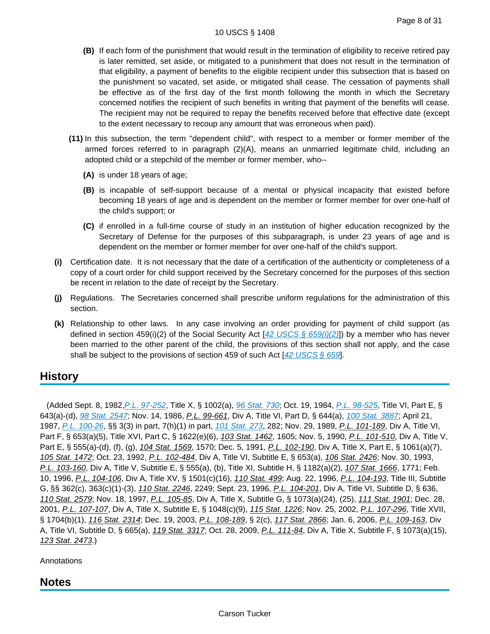- **(B)** If each form of the punishment that would result in the termination of eligibility to receive retired pay is later remitted, set aside, or mitigated to a punishment that does not result in the termination of that eligibility, a payment of benefits to the eligible recipient under this subsection that is based on the punishment so vacated, set aside, or mitigated shall cease. The cessation of payments shall be effective as of the first day of the first month following the month in which the Secretary concerned notifies the recipient of such benefits in writing that payment of the benefits will cease. The recipient may not be required to repay the benefits received before that effective date (except to the extent necessary to recoup any amount that was erroneous when paid).
- **(11)** In this subsection, the term "dependent child", with respect to a member or former member of the armed forces referred to in paragraph (2)(A), means an unmarried legitimate child, including an adopted child or a stepchild of the member or former member, who--
	- **(A)** is under 18 years of age;
	- **(B)** is incapable of self-support because of a mental or physical incapacity that existed before becoming 18 years of age and is dependent on the member or former member for over one-half of the child's support; or
	- **(C)** if enrolled in a full-time course of study in an institution of higher education recognized by the Secretary of Defense for the purposes of this subparagraph, is under 23 years of age and is dependent on the member or former member for over one-half of the child's support.
- **(i)** Certification date. It is not necessary that the date of a certification of the authenticity or completeness of a copy of a court order for child support received by the Secretary concerned for the purposes of this section be recent in relation to the date of receipt by the Secretary.
- **(j)** Regulations. The Secretaries concerned shall prescribe uniform regulations for the administration of this section.
- **(k)** Relationship to other laws. In any case involving an order providing for payment of child support (as defined in section 459(i)(2) of the Social Security Act  $[42 \text{ USCS} \text{ § } 659(i)(2)]$  $[42 \text{ USCS} \text{ § } 659(i)(2)]$  $[42 \text{ USCS} \text{ § } 659(i)(2)]$ ) by a member who has never been married to the other parent of the child, the provisions of this section shall not apply, and the case shall be subject to the provisions of section 459 of such Act  $[42 \text{ USCS } \frac{6}{9} \text{ 659}]$  $[42 \text{ USCS } \frac{6}{9} \text{ 659}]$  $[42 \text{ USCS } \frac{6}{9} \text{ 659}]$ .

# **History**

(Added Sept. 8, 1982, P.L. [97-252](http://advance.lexis.com/api/document?collection=statutes-legislation&id=urn:contentItem:5CD7-HSM0-01XN-S35G-00000-00&context=), Title X, § 1002(a), 96 [Stat.](http://advance.lexis.com/api/document?collection=statutes-legislation&id=urn:contentItem:5CD7-HSM0-01XN-S35G-00000-00&context=) 730; Oct. 19, 1984, P.L. [98-525](http://advance.lexis.com/api/document?collection=statutes-legislation&id=urn:contentItem:5CD7-HSP0-01XN-S4KF-00000-00&context=), Title VI, Part E, § 643(a)-(d), 98 Stat. [2547](http://advance.lexis.com/api/document?collection=statutes-legislation&id=urn:contentItem:5CD7-HSP0-01XN-S4KF-00000-00&context=); Nov. 14, 1986, P.L. 99-661, Div A, Title VI, Part D, § 644(a), 100 Stat. [3887](http://advance.lexis.com/api/document?collection=statutes-legislation&id=urn:contentItem:5CDM-HXT0-01XN-S0X3-00000-00&context=); April 21, 1987, P.L. [100-26](http://advance.lexis.com/api/document?collection=statutes-legislation&id=urn:contentItem:5CDM-HXT0-01XN-S16C-00000-00&context=), §§ 3(3) in part, 7(h)(1) in part, 101 [Stat.](http://advance.lexis.com/api/document?collection=statutes-legislation&id=urn:contentItem:5CDM-HXT0-01XN-S16C-00000-00&context=) 273, 282; Nov. 29, 1989, P.L. 101-189, Div A, Title VI, Part F, § 653(a)(5), Title XVI, Part C, § 1622(e)(6), 103 Stat. 1462, 1605; Nov. 5, 1990, P.L. 101-510, Div A, Title V, Part E, § 555(a)-(d), (f), (g), 104 Stat. 1569, 1570; Dec. 5, 1991, P.L. 102-190, Div A, Title X, Part E, § 1061(a)(7), 105 Stat. 1472; Oct. 23, 1992, P.L. 102-484, Div A, Title VI, Subtitle E, § 653(a), 106 Stat. 2426; Nov. 30, 1993, P.L. 103-160, Div A, Title V, Subtitle E, § 555(a), (b), Title XI, Subtitle H, § 1182(a)(2), 107 Stat. 1666, 1771; Feb. 10, 1996, P.L. 104-106, Div A, Title XV, § 1501(c)(16), 110 Stat. 499; Aug. 22, 1996, P.L. 104-193, Title III, Subtitle G, §§ 362(c), 363(c)(1)-(3), 110 Stat. 2246, 2249; Sept. 23, 1996, P.L. 104-201, Div A, Title VI, Subtitle D, § 636, 110 Stat. 2579; Nov. 18, 1997, P.L. 105-85, Div A, Title X, Subtitle G, § 1073(a)(24), (25), 111 Stat. 1901; Dec. 28, 2001, P.L. 107-107, Div A, Title X, Subtitle E, § 1048(c)(9), 115 Stat. 1226; Nov. 25, 2002, P.L. 107-296, Title XVII, § 1704(b)(1), 116 Stat. 2314; Dec. 19, 2003, P.L. 108-189, § 2(c), 117 Stat. 2866; Jan. 6, 2006, P.L. 109-163, Div A, Title VI, Subtitle D, § 665(a), 119 Stat. 3317; Oct. 28, 2009, P.L. 111-84, Div A, Title X, Subtitle F, § 1073(a)(15), 123 Stat. 2473.)

Annotations

## **Notes**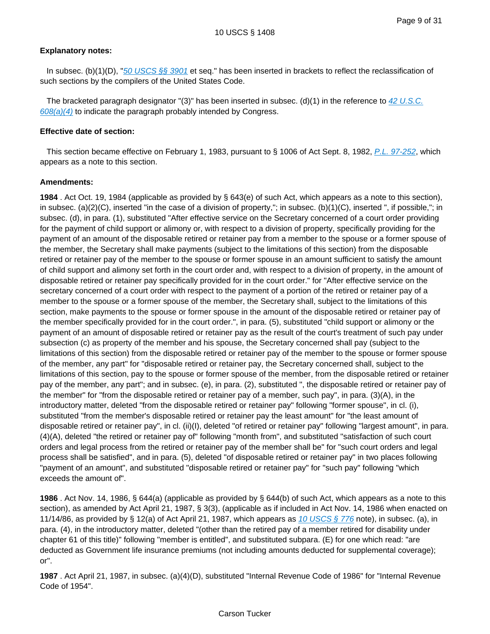## **Explanatory notes:**

In subsec. (b)(1)(D), "50 [USCS](http://advance.lexis.com/api/document?collection=statutes-legislation&id=urn:contentItem:5HCY-GSY1-NRF4-4001-00000-00&context=) §§ 3901 et seq." has been inserted in brackets to reflect the reclassification of such sections by the compilers of the United States Code.

The bracketed paragraph designator "(3)" has been inserted in subsec. (d)(1) in the reference to  $42 \text{ U.S.C.}$  $42 \text{ U.S.C.}$  $42 \text{ U.S.C.}$  $608(a)(4)$  to indicate the paragraph probably intended by Congress.

#### **Effective date of section:**

This section became effective on February 1, 1983, pursuant to § 1006 of Act Sept. 8, 1982, P.L. [97-252](http://advance.lexis.com/api/document?collection=statutes-legislation&id=urn:contentItem:5CD7-HSM0-01XN-S35G-00000-00&context=), which appears as a note to this section.

#### **Amendments:**

**1984** . Act Oct. 19, 1984 (applicable as provided by § 643(e) of such Act, which appears as a note to this section), in subsec. (a)(2)(C), inserted "in the case of a division of property,"; in subsec. (b)(1)(C), inserted ", if possible,"; in subsec. (d), in para. (1), substituted "After effective service on the Secretary concerned of a court order providing for the payment of child support or alimony or, with respect to a division of property, specifically providing for the payment of an amount of the disposable retired or retainer pay from a member to the spouse or a former spouse of the member, the Secretary shall make payments (subject to the limitations of this section) from the disposable retired or retainer pay of the member to the spouse or former spouse in an amount sufficient to satisfy the amount of child support and alimony set forth in the court order and, with respect to a division of property, in the amount of disposable retired or retainer pay specifically provided for in the court order." for "After effective service on the secretary concerned of a court order with respect to the payment of a portion of the retired or retainer pay of a member to the spouse or a former spouse of the member, the Secretary shall, subject to the limitations of this section, make payments to the spouse or former spouse in the amount of the disposable retired or retainer pay of the member specifically provided for in the court order.", in para. (5), substituted "child support or alimony or the payment of an amount of disposable retired or retainer pay as the result of the court's treatment of such pay under subsection (c) as property of the member and his spouse, the Secretary concerned shall pay (subject to the limitations of this section) from the disposable retired or retainer pay of the member to the spouse or former spouse of the member, any part" for "disposable retired or retainer pay, the Secretary concerned shall, subject to the limitations of this section, pay to the spouse or former spouse of the member, from the disposable retired or retainer pay of the member, any part"; and in subsec. (e), in para. (2), substituted ", the disposable retired or retainer pay of the member" for "from the disposable retired or retainer pay of a member, such pay", in para. (3)(A), in the introductory matter, deleted "from the disposable retired or retainer pay" following "former spouse", in cl. (i), substituted "from the member's disposable retired or retainer pay the least amount" for "the least amount of disposable retired or retainer pay", in cl. (ii)(I), deleted "of retired or retainer pay" following "largest amount", in para. (4)(A), deleted "the retired or retainer pay of" following "month from", and substituted "satisfaction of such court orders and legal process from the retired or retainer pay of the member shall be" for "such court orders and legal process shall be satisfied", and in para. (5), deleted "of disposable retired or retainer pay" in two places following "payment of an amount", and substituted "disposable retired or retainer pay" for "such pay" following "which exceeds the amount of".

**1986** . Act Nov. 14, 1986, § 644(a) (applicable as provided by § 644(b) of such Act, which appears as a note to this section), as amended by Act April 21, 1987, § 3(3), (applicable as if included in Act Nov. 14, 1986 when enacted on 11/14/86, as provided by § 12(a) of Act April 21, 1987, which appears as 10 [USCS](http://advance.lexis.com/api/document?collection=statutes-legislation&id=urn:contentItem:4YF7-GTC1-NRF4-4193-00000-00&context=) § 776 note), in subsec. (a), in para. (4), in the introductory matter, deleted "(other than the retired pay of a member retired for disability under chapter 61 of this title)" following "member is entitled", and substituted subpara. (E) for one which read: "are deducted as Government life insurance premiums (not including amounts deducted for supplemental coverage); or".

**1987** . Act April 21, 1987, in subsec. (a)(4)(D), substituted "Internal Revenue Code of 1986" for "Internal Revenue Code of 1954".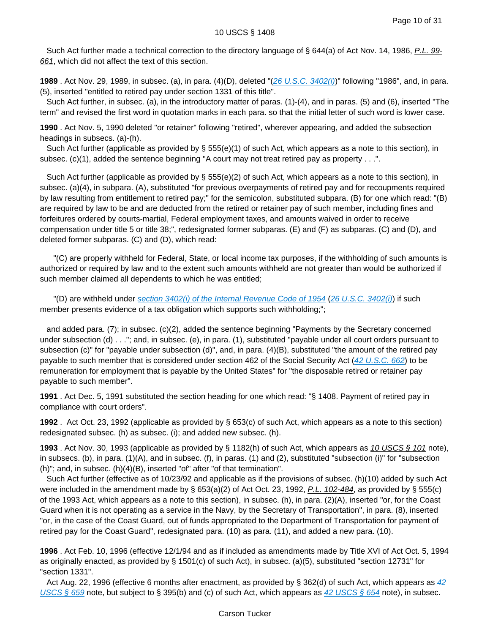Such Act further made a technical correction to the directory language of § 644(a) of Act Nov. 14, 1986, P.L. 99-661, which did not affect the text of this section.

**1989** . Act Nov. 29, 1989, in subsec. (a), in para. (4)(D), deleted "(26 U.S.C. [3402\(i\)](http://advance.lexis.com/api/document?collection=statutes-legislation&id=urn:contentItem:4YF7-GW41-NRF4-42PG-00000-00&context=))" following "1986", and, in para. (5), inserted "entitled to retired pay under section 1331 of this title".

Such Act further, in subsec. (a), in the introductory matter of paras. (1)-(4), and in paras. (5) and (6), inserted "The term" and revised the first word in quotation marks in each para. so that the initial letter of such word is lower case.

**1990** . Act Nov. 5, 1990 deleted "or retainer" following "retired", wherever appearing, and added the subsection headings in subsecs. (a)-(h).

Such Act further (applicable as provided by  $\S 555(e)(1)$  of such Act, which appears as a note to this section), in subsec. (c)(1), added the sentence beginning "A court may not treat retired pay as property . . .".

Such Act further (applicable as provided by § 555(e)(2) of such Act, which appears as a note to this section), in subsec. (a)(4), in subpara. (A), substituted "for previous overpayments of retired pay and for recoupments required by law resulting from entitlement to retired pay;" for the semicolon, substituted subpara. (B) for one which read: "(B) are required by law to be and are deducted from the retired or retainer pay of such member, including fines and forfeitures ordered by courts-martial, Federal employment taxes, and amounts waived in order to receive compensation under title 5 or title 38;", redesignated former subparas. (E) and (F) as subparas. (C) and (D), and deleted former subparas. (C) and (D), which read:

"(C) are properly withheld for Federal, State, or local income tax purposes, if the withholding of such amounts is authorized or required by law and to the extent such amounts withheld are not greater than would be authorized if such member claimed all dependents to which he was entitled;

"(D) are withheld under *section 3402(i) of the Internal [Revenue](http://advance.lexis.com/api/document?collection=statutes-legislation&id=urn:contentItem:4YF7-GW41-NRF4-42PG-00000-00&context=) Code of 1954 (26 U.S.C. [3402\(i\)](http://advance.lexis.com/api/document?collection=statutes-legislation&id=urn:contentItem:4YF7-GW41-NRF4-42PG-00000-00&context=)*) if such member presents evidence of a tax obligation which supports such withholding;";

and added para. (7); in subsec. (c)(2), added the sentence beginning "Payments by the Secretary concerned under subsection (d) . . ."; and, in subsec. (e), in para. (1), substituted "payable under all court orders pursuant to subsection (c)" for "payable under subsection (d)", and, in para. (4)(B), substituted "the amount of the retired pay payable to such member that is considered under section 462 of the Social Security Act (42 [U.S.C.](http://advance.lexis.com/api/document?collection=statutes-legislation&id=urn:contentItem:4YF7-GT21-NRF4-43C3-00000-00&context=) 662) to be remuneration for employment that is payable by the United States" for "the disposable retired or retainer pay payable to such member".

**1991** . Act Dec. 5, 1991 substituted the section heading for one which read: "§ 1408. Payment of retired pay in compliance with court orders".

**1992** . Act Oct. 23, 1992 (applicable as provided by § 653(c) of such Act, which appears as a note to this section) redesignated subsec. (h) as subsec. (i); and added new subsec. (h).

**1993** . Act Nov. 30, 1993 (applicable as provided by § 1182(h) of such Act, which appears as 10 USCS § 101 note), in subsecs. (b), in para. (1)(A), and in subsec. (f), in paras. (1) and (2), substituted "subsection (i)" for "subsection (h)"; and, in subsec. (h)(4)(B), inserted "of" after "of that termination".

Such Act further (effective as of 10/23/92 and applicable as if the provisions of subsec. (h)(10) added by such Act were included in the amendment made by § 653(a)(2) of Act Oct. 23, 1992, P.L. 102-484, as provided by § 555(c) of the 1993 Act, which appears as a note to this section), in subsec. (h), in para. (2)(A), inserted "or, for the Coast Guard when it is not operating as a service in the Navy, by the Secretary of Transportation", in para. (8), inserted "or, in the case of the Coast Guard, out of funds appropriated to the Department of Transportation for payment of retired pay for the Coast Guard", redesignated para. (10) as para. (11), and added a new para. (10).

**1996** . Act Feb. 10, 1996 (effective 12/1/94 and as if included as amendments made by Title XVI of Act Oct. 5, 1994 as originally enacted, as provided by § 1501(c) of such Act), in subsec. (a)(5), substituted "section 12731" for "section 1331".

Act Aug. 22, 1996 (effective 6 months after enactment, as provided by § 362(d) of such Act, which appears as [42](http://advance.lexis.com/api/document?collection=statutes-legislation&id=urn:contentItem:4YF7-GSV1-NRF4-4182-00000-00&context=) [USCS](http://advance.lexis.com/api/document?collection=statutes-legislation&id=urn:contentItem:4YF7-GM41-NRF4-415V-00000-00&context=) § 659 note, but subject to § 395(b) and (c) of such Act, which appears as  $42$  USCS § 654 note), in subsec.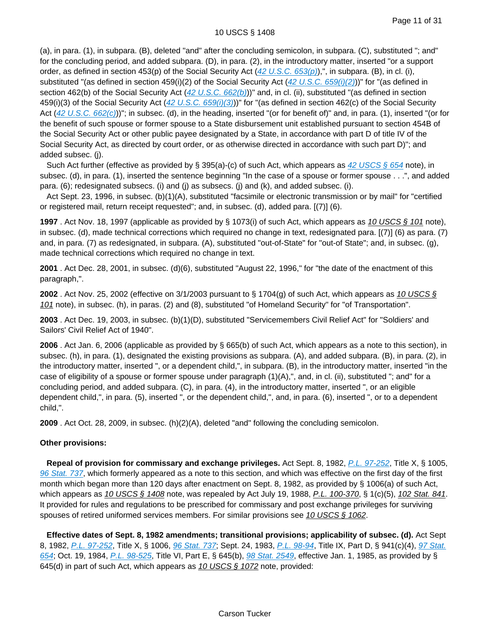(a), in para. (1), in subpara. (B), deleted "and" after the concluding semicolon, in subpara. (C), substituted "; and" for the concluding period, and added subpara. (D), in para. (2), in the introductory matter, inserted "or a support order, as defined in section 453(p) of the Social Security Act  $(42 \text{ U.S.C. } 653(p))$  $(42 \text{ U.S.C. } 653(p))$  $(42 \text{ U.S.C. } 653(p))$ ,", in subpara. (B), in cl. (i), substituted "(as defined in section 459(i)(2) of the Social Security Act  $(42 \text{ U.S.C. } 659(i)(2))$  $(42 \text{ U.S.C. } 659(i)(2))$  $(42 \text{ U.S.C. } 659(i)(2))$ " for "(as defined in section 462(b) of the Social Security Act  $(42 \text{ U.S.C. } 662(b))$  $(42 \text{ U.S.C. } 662(b))$  $(42 \text{ U.S.C. } 662(b))$ " and, in cl. (ii), substituted "(as defined in section 459(i)(3) of the Social Security Act (42 U.S.C. [659\(i\)\(3\)](http://advance.lexis.com/api/document?collection=statutes-legislation&id=urn:contentItem:4YF7-GSV1-NRF4-4182-00000-00&context=)))" for "(as defined in section 462(c) of the Social Security Act  $(42 \text{ U.S.C. } 662(c))$  $(42 \text{ U.S.C. } 662(c))$  $(42 \text{ U.S.C. } 662(c))$ "; in subsec. (d), in the heading, inserted "(or for benefit of)" and, in para. (1), inserted "(or for the benefit of such spouse or former spouse to a State disbursement unit established pursuant to section 454B of the Social Security Act or other public payee designated by a State, in accordance with part D of title IV of the Social Security Act, as directed by court order, or as otherwise directed in accordance with such part D)"; and added subsec. (j).

Such Act further (effective as provided by § 395(a)-(c) of such Act, which appears as  $42$  [USCS](http://advance.lexis.com/api/document?collection=statutes-legislation&id=urn:contentItem:4YF7-GM41-NRF4-415V-00000-00&context=) § 654 note), in subsec. (d), in para. (1), inserted the sentence beginning "In the case of a spouse or former spouse . . .", and added para. (6); redesignated subsecs. (i) and (j) as subsecs. (j) and (k), and added subsec. (i).

Act Sept. 23, 1996, in subsec. (b)(1)(A), substituted "facsimile or electronic transmission or by mail" for "certified or registered mail, return receipt requested"; and, in subsec. (d), added para. [(7)] (6).

**1997** . Act Nov. 18, 1997 (applicable as provided by § 1073(i) of such Act, which appears as 10 USCS § 101 note), in subsec. (d), made technical corrections which required no change in text, redesignated para. [(7)] (6) as para. (7) and, in para. (7) as redesignated, in subpara. (A), substituted "out-of-State" for "out-of State"; and, in subsec. (g), made technical corrections which required no change in text.

**2001** . Act Dec. 28, 2001, in subsec. (d)(6), substituted "August 22, 1996," for "the date of the enactment of this paragraph,".

**2002** . Act Nov. 25, 2002 (effective on 3/1/2003 pursuant to § 1704(g) of such Act, which appears as 10 USCS § 101 note), in subsec. (h), in paras. (2) and (8), substituted "of Homeland Security" for "of Transportation".

**2003** . Act Dec. 19, 2003, in subsec. (b)(1)(D), substituted "Servicemembers Civil Relief Act" for "Soldiers' and Sailors' Civil Relief Act of 1940".

**2006** . Act Jan. 6, 2006 (applicable as provided by § 665(b) of such Act, which appears as a note to this section), in subsec. (h), in para. (1), designated the existing provisions as subpara. (A), and added subpara. (B), in para. (2), in the introductory matter, inserted ", or a dependent child,", in subpara. (B), in the introductory matter, inserted "in the case of eligibility of a spouse or former spouse under paragraph (1)(A),", and, in cl. (ii), substituted "; and" for a concluding period, and added subpara. (C), in para. (4), in the introductory matter, inserted ", or an eligible dependent child,", in para. (5), inserted ", or the dependent child,", and, in para. (6), inserted ", or to a dependent child,".

**2009** . Act Oct. 28, 2009, in subsec. (h)(2)(A), deleted "and" following the concluding semicolon.

#### **Other provisions:**

**Repeal of provision for commissary and exchange privileges.** Act Sept. 8, 1982, P.L. [97-252](http://advance.lexis.com/api/document?collection=statutes-legislation&id=urn:contentItem:5CD7-HSM0-01XN-S35G-00000-00&context=), Title X, § 1005, 96 [Stat.](http://advance.lexis.com/api/document?collection=statutes-legislation&id=urn:contentItem:5CD7-HSM0-01XN-S35G-00000-00&context=) 737, which formerly appeared as a note to this section, and which was effective on the first day of the first month which began more than 120 days after enactment on Sept. 8, 1982, as provided by § 1006(a) of such Act, which appears as 10 USCS § 1408 note, was repealed by Act July 19, 1988, P.L. 100-370, § 1(c)(5), 102 Stat. 841. It provided for rules and regulations to be prescribed for commissary and post exchange privileges for surviving spouses of retired uniformed services members. For similar provisions see 10 USCS § 1062.

**Effective dates of Sept. 8, 1982 amendments; transitional provisions; applicability of subsec. (d).** Act Sept 8, 1982, P.L. [97-252](http://advance.lexis.com/api/document?collection=statutes-legislation&id=urn:contentItem:5CD7-HSM0-01XN-S35G-00000-00&context=), Title X, § 1006, 96 [Stat.](http://advance.lexis.com/api/document?collection=statutes-legislation&id=urn:contentItem:5CD7-HSN0-01XN-S3VG-00000-00&context=) 737; Sept. 24, 1983, P.L. [98-94](http://advance.lexis.com/api/document?collection=statutes-legislation&id=urn:contentItem:5CD7-HSN0-01XN-S3VG-00000-00&context=), Title IX, Part D, § 941(c)(4), 97 Stat. [654](http://advance.lexis.com/api/document?collection=statutes-legislation&id=urn:contentItem:5CD7-HSN0-01XN-S3VG-00000-00&context=); Oct. 19, 1984, P.L. [98-525](http://advance.lexis.com/api/document?collection=statutes-legislation&id=urn:contentItem:5CD7-HSP0-01XN-S4KF-00000-00&context=), Title VI, Part E, § 645(b), 98 Stat. [2549](http://advance.lexis.com/api/document?collection=statutes-legislation&id=urn:contentItem:5CD7-HSP0-01XN-S4KF-00000-00&context=), effective Jan. 1, 1985, as provided by § 645(d) in part of such Act, which appears as  $10$  USCS  $\frac{6}{5}$  1072 note, provided: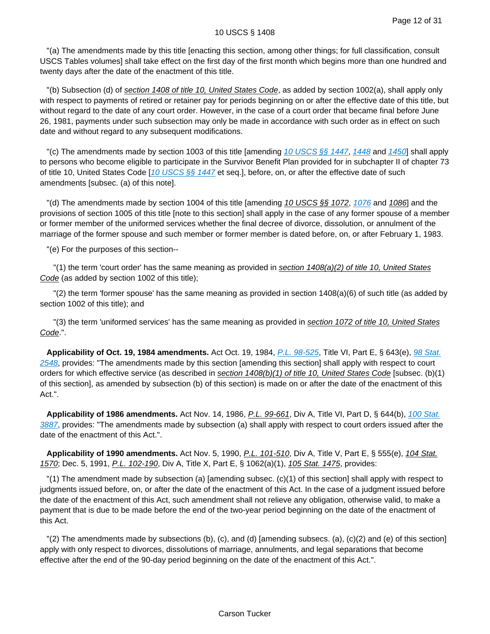#### 10 USCS § 1408

"(a) The amendments made by this title [enacting this section, among other things; for full classification, consult USCS Tables volumes] shall take effect on the first day of the first month which begins more than one hundred and twenty days after the date of the enactment of this title.

"(b) Subsection (d) of section 1408 of title 10, United States Code, as added by section 1002(a), shall apply only with respect to payments of retired or retainer pay for periods beginning on or after the effective date of this title, but without regard to the date of any court order. However, in the case of a court order that became final before June 26, 1981, payments under such subsection may only be made in accordance with such order as in effect on such date and without regard to any subsequent modifications.

"(c) The amendments made by section 1003 of this title [amending 10 [USCS](http://advance.lexis.com/api/document?collection=statutes-legislation&id=urn:contentItem:4YF7-GW41-NRF4-42V8-00000-00&context=) §§ 1447, [1448](http://advance.lexis.com/api/document?collection=statutes-legislation&id=urn:contentItem:4YF7-GMT1-NRF4-42TV-00000-00&context=) and [1450](http://advance.lexis.com/api/document?collection=statutes-legislation&id=urn:contentItem:4YF7-GKB1-NRF4-449P-00000-00&context=)] shall apply to persons who become eligible to participate in the Survivor Benefit Plan provided for in subchapter II of chapter 73 of title 10, United States Code [10 [USCS](http://advance.lexis.com/api/document?collection=statutes-legislation&id=urn:contentItem:4YF7-GW41-NRF4-42V8-00000-00&context=) §§ 1447 et seq.], before, on, or after the effective date of such amendments [subsec. (a) of this note].

"(d) The amendments made by section 1004 of this title [amending 10 USCS  $\S$ § 1072, [1076](http://advance.lexis.com/api/document?collection=statutes-legislation&id=urn:contentItem:4YF7-GRB1-NRF4-4201-00000-00&context=) and 1086] and the provisions of section 1005 of this title [note to this section] shall apply in the case of any former spouse of a member or former member of the uniformed services whether the final decree of divorce, dissolution, or annulment of the marriage of the former spouse and such member or former member is dated before, on, or after February 1, 1983.

"(e) For the purposes of this section--

"(1) the term 'court order' has the same meaning as provided in section  $1408(a)(2)$  of title 10, United States Code (as added by section 1002 of this title);

"(2) the term 'former spouse' has the same meaning as provided in section 1408(a)(6) of such title (as added by section 1002 of this title); and

"(3) the term 'uniformed services' has the same meaning as provided in section 1072 of title 10, United States Code.".

**Applicability of Oct. 19, 1984 amendments.** Act Oct. 19, 1984, P.L. [98-525](http://advance.lexis.com/api/document?collection=statutes-legislation&id=urn:contentItem:5CD7-HSP0-01XN-S4KF-00000-00&context=), Title VI, Part E, § 643(e), 98 [Stat.](http://advance.lexis.com/api/document?collection=statutes-legislation&id=urn:contentItem:5CD7-HSP0-01XN-S4KF-00000-00&context=) [2548](http://advance.lexis.com/api/document?collection=statutes-legislation&id=urn:contentItem:5CD7-HSP0-01XN-S4KF-00000-00&context=), provides: "The amendments made by this section [amending this section] shall apply with respect to court orders for which effective service (as described in section  $1408(b)(1)$  of title 10, United States Code [subsec. (b)(1) of this section], as amended by subsection (b) of this section) is made on or after the date of the enactment of this Act.".

**Applicability of 1986 amendments.** Act Nov. 14, 1986, P.L. 99-661, Div A, Title VI, Part D, § 644(b), 100 [Stat.](http://advance.lexis.com/api/document?collection=statutes-legislation&id=urn:contentItem:5CDM-HXT0-01XN-S0X3-00000-00&context=) [3887](http://advance.lexis.com/api/document?collection=statutes-legislation&id=urn:contentItem:5CDM-HXT0-01XN-S0X3-00000-00&context=), provides: "The amendments made by subsection (a) shall apply with respect to court orders issued after the date of the enactment of this Act.".

**Applicability of 1990 amendments.** Act Nov. 5, 1990, P.L. 101-510, Div A, Title V, Part E, § 555(e), 104 Stat. 1570; Dec. 5, 1991, P.L. 102-190, Div A, Title X, Part E, § 1062(a)(1), 105 Stat. 1475, provides:

"(1) The amendment made by subsection (a) [amending subsec. (c)(1) of this section] shall apply with respect to judgments issued before, on, or after the date of the enactment of this Act. In the case of a judgment issued before the date of the enactment of this Act, such amendment shall not relieve any obligation, otherwise valid, to make a payment that is due to be made before the end of the two-year period beginning on the date of the enactment of this Act.

"(2) The amendments made by subsections (b), (c), and (d) [amending subsecs. (a), (c)(2) and (e) of this section] apply with only respect to divorces, dissolutions of marriage, annulments, and legal separations that become effective after the end of the 90-day period beginning on the date of the enactment of this Act.".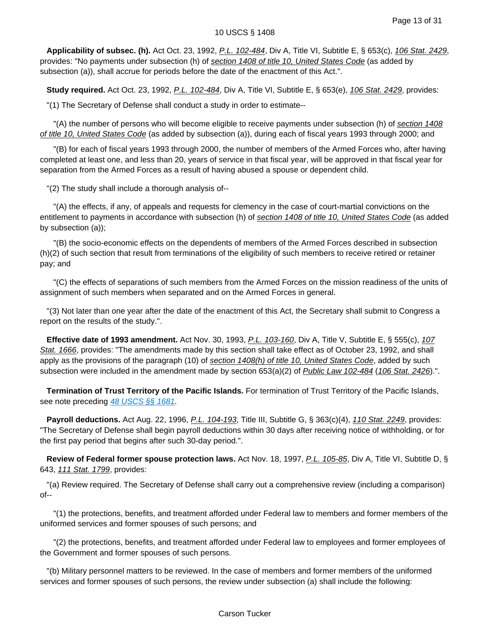**Applicability of subsec. (h).** Act Oct. 23, 1992, P.L. 102-484, Div A, Title VI, Subtitle E, § 653(c), 106 Stat. 2429, provides: "No payments under subsection (h) of section 1408 of title 10, United States Code (as added by subsection (a)), shall accrue for periods before the date of the enactment of this Act.".

**Study required.** Act Oct. 23, 1992, P.L. 102-484, Div A, Title VI, Subtitle E, § 653(e), 106 Stat. 2429, provides:

"(1) The Secretary of Defense shall conduct a study in order to estimate--

"(A) the number of persons who will become eligible to receive payments under subsection (h) of section 1408 of title 10, United States Code (as added by subsection (a)), during each of fiscal years 1993 through 2000; and

"(B) for each of fiscal years 1993 through 2000, the number of members of the Armed Forces who, after having completed at least one, and less than 20, years of service in that fiscal year, will be approved in that fiscal year for separation from the Armed Forces as a result of having abused a spouse or dependent child.

"(2) The study shall include a thorough analysis of--

"(A) the effects, if any, of appeals and requests for clemency in the case of court-martial convictions on the entitlement to payments in accordance with subsection (h) of section 1408 of title 10, United States Code (as added by subsection (a));

"(B) the socio-economic effects on the dependents of members of the Armed Forces described in subsection (h)(2) of such section that result from terminations of the eligibility of such members to receive retired or retainer pay; and

"(C) the effects of separations of such members from the Armed Forces on the mission readiness of the units of assignment of such members when separated and on the Armed Forces in general.

"(3) Not later than one year after the date of the enactment of this Act, the Secretary shall submit to Congress a report on the results of the study.".

**Effective date of 1993 amendment.** Act Nov. 30, 1993, P.L. 103-160, Div A, Title V, Subtitle E, § 555(c), 107 Stat. 1666, provides: "The amendments made by this section shall take effect as of October 23, 1992, and shall apply as the provisions of the paragraph (10) of section 1408(h) of title 10, United States Code, added by such subsection were included in the amendment made by section 653(a)(2) of Public Law 102-484 (106 Stat. 2426).".

**Termination of Trust Territory of the Pacific Islands.** For termination of Trust Territory of the Pacific Islands, see note preceding 48 [USCS](http://advance.lexis.com/api/document?collection=statutes-legislation&id=urn:contentItem:4YF7-GTX1-NRF4-41CB-00000-00&context=) §§ 1681.

**Payroll deductions.** Act Aug. 22, 1996, P.L. 104-193, Title III, Subtitle G, § 363(c)(4), 110 Stat. 2249, provides: "The Secretary of Defense shall begin payroll deductions within 30 days after receiving notice of withholding, or for the first pay period that begins after such 30-day period.".

**Review of Federal former spouse protection laws.** Act Nov. 18, 1997, P.L. 105-85, Div A, Title VI, Subtitle D, § 643, 111 Stat. 1799, provides:

"(a) Review required. The Secretary of Defense shall carry out a comprehensive review (including a comparison) of--

"(1) the protections, benefits, and treatment afforded under Federal law to members and former members of the uniformed services and former spouses of such persons; and

"(2) the protections, benefits, and treatment afforded under Federal law to employees and former employees of the Government and former spouses of such persons.

"(b) Military personnel matters to be reviewed. In the case of members and former members of the uniformed services and former spouses of such persons, the review under subsection (a) shall include the following: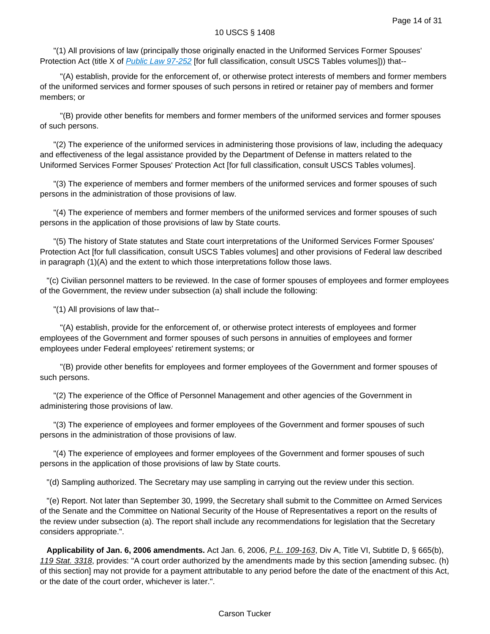"(1) All provisions of law (principally those originally enacted in the Uniformed Services Former Spouses' Protection Act (title X of Public Law [97-252](http://advance.lexis.com/api/document?collection=statutes-legislation&id=urn:contentItem:5CD7-HSM0-01XN-S35G-00000-00&context=) [for full classification, consult USCS Tables volumes])) that--

"(A) establish, provide for the enforcement of, or otherwise protect interests of members and former members of the uniformed services and former spouses of such persons in retired or retainer pay of members and former members; or

"(B) provide other benefits for members and former members of the uniformed services and former spouses of such persons.

"(2) The experience of the uniformed services in administering those provisions of law, including the adequacy and effectiveness of the legal assistance provided by the Department of Defense in matters related to the Uniformed Services Former Spouses' Protection Act [for full classification, consult USCS Tables volumes].

"(3) The experience of members and former members of the uniformed services and former spouses of such persons in the administration of those provisions of law.

"(4) The experience of members and former members of the uniformed services and former spouses of such persons in the application of those provisions of law by State courts.

"(5) The history of State statutes and State court interpretations of the Uniformed Services Former Spouses' Protection Act [for full classification, consult USCS Tables volumes] and other provisions of Federal law described in paragraph (1)(A) and the extent to which those interpretations follow those laws.

"(c) Civilian personnel matters to be reviewed. In the case of former spouses of employees and former employees of the Government, the review under subsection (a) shall include the following:

"(1) All provisions of law that--

"(A) establish, provide for the enforcement of, or otherwise protect interests of employees and former employees of the Government and former spouses of such persons in annuities of employees and former employees under Federal employees' retirement systems; or

"(B) provide other benefits for employees and former employees of the Government and former spouses of such persons.

"(2) The experience of the Office of Personnel Management and other agencies of the Government in administering those provisions of law.

"(3) The experience of employees and former employees of the Government and former spouses of such persons in the administration of those provisions of law.

"(4) The experience of employees and former employees of the Government and former spouses of such persons in the application of those provisions of law by State courts.

"(d) Sampling authorized. The Secretary may use sampling in carrying out the review under this section.

"(e) Report. Not later than September 30, 1999, the Secretary shall submit to the Committee on Armed Services of the Senate and the Committee on National Security of the House of Representatives a report on the results of the review under subsection (a). The report shall include any recommendations for legislation that the Secretary considers appropriate.".

**Applicability of Jan. 6, 2006 amendments.** Act Jan. 6, 2006, P.L. 109-163, Div A, Title VI, Subtitle D, § 665(b), 119 Stat. 3318, provides: "A court order authorized by the amendments made by this section [amending subsec. (h) of this section] may not provide for a payment attributable to any period before the date of the enactment of this Act, or the date of the court order, whichever is later.".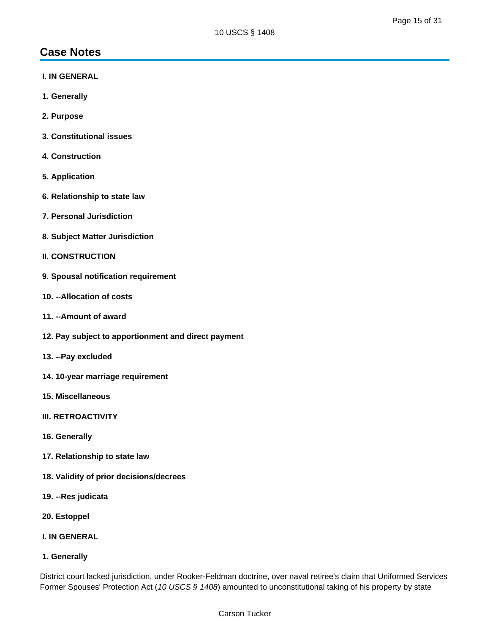# **Case Notes**

- **I. IN GENERAL**
- **1. Generally**
- **2. Purpose**
- **3. Constitutional issues**
- **4. Construction**
- **5. Application**
- **6. Relationship to state law**
- **7. Personal Jurisdiction**
- **8. Subject Matter Jurisdiction**
- **II. CONSTRUCTION**
- **9. Spousal notification requirement**
- **10. --Allocation of costs**
- **11. --Amount of award**
- **12. Pay subject to apportionment and direct payment**
- **13. --Pay excluded**
- **14. 10-year marriage requirement**
- **15. Miscellaneous**
- **III. RETROACTIVITY**
- **16. Generally**
- **17. Relationship to state law**
- **18. Validity of prior decisions/decrees**
- **19. --Res judicata**
- **20. Estoppel**

## **I. IN GENERAL**

**1. Generally**

District court lacked jurisdiction, under Rooker-Feldman doctrine, over naval retiree's claim that Uniformed Services Former Spouses' Protection Act (10 USCS § 1408) amounted to unconstitutional taking of his property by state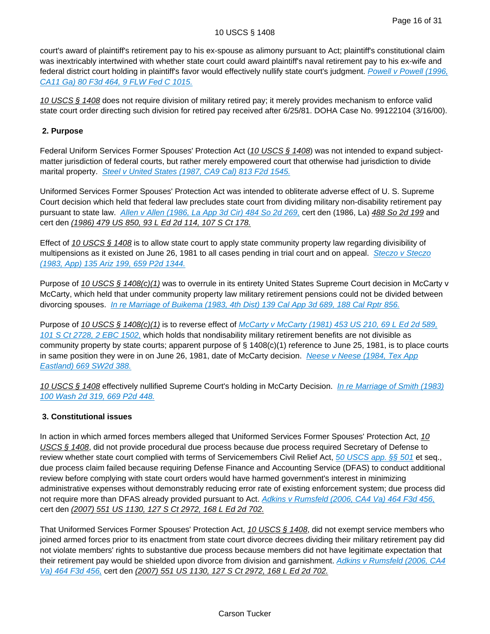court's award of plaintiff's retirement pay to his ex-spouse as alimony pursuant to Act; plaintiff's constitutional claim was inextricably intertwined with whether state court could award plaintiff's naval retirement pay to his ex-wife and federal district court holding in plaintiff's favor would effectively nullify state court's judgment. Powell v [Powell](http://advance.lexis.com/api/document?collection=cases&id=urn:contentItem:3S4X-2KR0-006F-M01F-00000-00&context=) (1996, CA11 Ga) 80 F3d 464, 9 FLW Fed C [1015.](http://advance.lexis.com/api/document?collection=cases&id=urn:contentItem:3S4X-2KR0-006F-M01F-00000-00&context=)

10 USCS § 1408 does not require division of military retired pay; it merely provides mechanism to enforce valid state court order directing such division for retired pay received after 6/25/81. DOHA Case No. 99122104 (3/16/00).

#### **2. Purpose**

Federal Uniform Services Former Spouses' Protection Act (10 USCS § 1408) was not intended to expand subjectmatter jurisdiction of federal courts, but rather merely empowered court that otherwise had jurisdiction to divide marital property. Steel v [United](http://advance.lexis.com/api/document?collection=cases&id=urn:contentItem:3S4X-BPH0-001B-K2DR-00000-00&context=) States (1987, CA9 Cal) 813 F2d 1545.

Uniformed Services Former Spouses' Protection Act was intended to obliterate adverse effect of U. S. Supreme Court decision which held that federal law precludes state court from dividing military non-disability retirement pay pursuant to state law. Allen v Allen [\(1986,](http://advance.lexis.com/api/document?collection=cases&id=urn:contentItem:3RX6-J8T0-003G-N2Y5-00000-00&context=) La App 3d Cir) 484 So 2d 269, cert den (1986, La) 488 So 2d 199 and cert den (1986) 479 US 850, 93 L Ed 2d 114, 107 S Ct 178.

Effect of 10 USCS § 1408 is to allow state court to apply state community property law regarding divisibility of multipensions as it existed on June 26, 1981 to all cases pending in trial court and on appeal. [Steczo](http://advance.lexis.com/api/document?collection=cases&id=urn:contentItem:3RX3-YD40-003F-T4GX-00000-00&context=) v Steczo [\(1983,](http://advance.lexis.com/api/document?collection=cases&id=urn:contentItem:3RX3-YD40-003F-T4GX-00000-00&context=) App) 135 Ariz 199, 659 P2d 1344.

Purpose of 10 USCS § 1408(c)(1) was to overrule in its entirety United States Supreme Court decision in McCarty v McCarty, which held that under community property law military retirement pensions could not be divided between divorcing spouses. In re [Marriage](http://advance.lexis.com/api/document?collection=cases&id=urn:contentItem:3RX6-MCG0-003D-J402-00000-00&context=) of Buikema (1983, 4th Dist) 139 Cal App 3d 689, 188 Cal Rptr 856.

Purpose of 10 USCS § 1408(c)(1) is to reverse effect of [McCarty](http://advance.lexis.com/api/document?collection=cases&id=urn:contentItem:3S4X-69N0-003B-S07V-00000-00&context=) v McCarty (1981) 453 US 210, 69 L Ed 2d 589, 101 S Ct [2728,](http://advance.lexis.com/api/document?collection=cases&id=urn:contentItem:3S4X-69N0-003B-S07V-00000-00&context=) 2 EBC 1502, which holds that nondisability military retirement benefits are not divisible as community property by state courts; apparent purpose of § 1408(c)(1) reference to June 25, 1981, is to place courts in same position they were in on June 26, 1981, date of McCarty decision. [Neese](http://advance.lexis.com/api/document?collection=cases&id=urn:contentItem:3S3K-4DS0-003C-20X8-00000-00&context=) v Neese (1984, Tex App [Eastland\)](http://advance.lexis.com/api/document?collection=cases&id=urn:contentItem:3S3K-4DS0-003C-20X8-00000-00&context=) 669 SW2d 388.

10 USCS § 1408 effectively nullified Supreme Court's holding in McCarty Decision. In re [Marriage](http://advance.lexis.com/api/document?collection=cases&id=urn:contentItem:3S3J-W720-003F-W2DF-00000-00&context=) of Smith (1983) 100 [Wash](http://advance.lexis.com/api/document?collection=cases&id=urn:contentItem:3S3J-W720-003F-W2DF-00000-00&context=) 2d 319, 669 P2d 448.

#### **3. Constitutional issues**

In action in which armed forces members alleged that Uniformed Services Former Spouses' Protection Act, 10 USCS § 1408, did not provide procedural due process because due process required Secretary of Defense to review whether state court complied with terms of Servicemembers Civil Relief Act, 50 [USCS](http://advance.lexis.com/api/document?collection=statutes-legislation&id=urn:contentItem:4YF7-GKB1-NRF4-44F9-00000-00&context=) app. §§ 501 et seq., due process claim failed because requiring Defense Finance and Accounting Service (DFAS) to conduct additional review before complying with state court orders would have harmed government's interest in minimizing administrative expenses without demonstrably reducing error rate of existing enforcement system; due process did not require more than DFAS already provided pursuant to Act. Adkins v [Rumsfeld](http://advance.lexis.com/api/document?collection=cases&id=urn:contentItem:4KXG-B960-0038-X0HS-00000-00&context=) (2006, CA4 Va) 464 F3d 456, cert den (2007) 551 US 1130, 127 S Ct 2972, 168 L Ed 2d 702.

That Uniformed Services Former Spouses' Protection Act, 10 USCS § 1408, did not exempt service members who joined armed forces prior to its enactment from state court divorce decrees dividing their military retirement pay did not violate members' rights to substantive due process because members did not have legitimate expectation that their retirement pay would be shielded upon divorce from division and garnishment. Adkins v [Rumsfeld](http://advance.lexis.com/api/document?collection=cases&id=urn:contentItem:4KXG-B960-0038-X0HS-00000-00&context=) (2006, CA4 Va) 464 F3d [456,](http://advance.lexis.com/api/document?collection=cases&id=urn:contentItem:4KXG-B960-0038-X0HS-00000-00&context=) cert den (2007) 551 US 1130, 127 S Ct 2972, 168 L Ed 2d 702.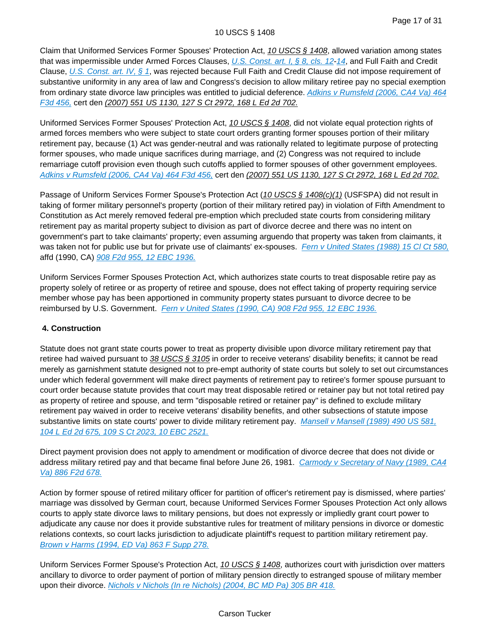Claim that Uniformed Services Former Spouses' Protection Act, 10 USCS § 1408, allowed variation among states that was impermissible under Armed Forces Clauses, U.S. [Const.](http://advance.lexis.com/api/document?collection=statutes-legislation&id=urn:contentItem:4YF7-GRT1-NRF4-4166-00000-00&context=) art. I, § 8, cls. 12-[14](http://advance.lexis.com/api/document?collection=statutes-legislation&id=urn:contentItem:4YF7-GK61-NRF4-42VB-00000-00&context=), and Full Faith and Credit Clause, U.S. [Const.](http://advance.lexis.com/api/document?collection=statutes-legislation&id=urn:contentItem:4YF7-GN51-NRF4-4160-00000-00&context=) art. IV, § 1, was rejected because Full Faith and Credit Clause did not impose requirement of substantive uniformity in any area of law and Congress's decision to allow military retiree pay no special exemption from ordinary state divorce law principles was entitled to judicial deference. Adkins v [Rumsfeld](http://advance.lexis.com/api/document?collection=cases&id=urn:contentItem:4KXG-B960-0038-X0HS-00000-00&context=) (2006, CA4 Va) 464 F3d [456,](http://advance.lexis.com/api/document?collection=cases&id=urn:contentItem:4KXG-B960-0038-X0HS-00000-00&context=) cert den (2007) 551 US 1130, 127 S Ct 2972, 168 L Ed 2d 702.

Uniformed Services Former Spouses' Protection Act, 10 USCS § 1408, did not violate equal protection rights of armed forces members who were subject to state court orders granting former spouses portion of their military retirement pay, because (1) Act was gender-neutral and was rationally related to legitimate purpose of protecting former spouses, who made unique sacrifices during marriage, and (2) Congress was not required to include remarriage cutoff provision even though such cutoffs applied to former spouses of other government employees. Adkins v [Rumsfeld](http://advance.lexis.com/api/document?collection=cases&id=urn:contentItem:4KXG-B960-0038-X0HS-00000-00&context=) (2006, CA4 Va) 464 F3d 456, cert den (2007) 551 US 1130, 127 S Ct 2972, 168 L Ed 2d 702.

Passage of Uniform Services Former Spouse's Protection Act (10 USCS § 1408(c)(1) (USFSPA) did not result in taking of former military personnel's property (portion of their military retired pay) in violation of Fifth Amendment to Constitution as Act merely removed federal pre-emption which precluded state courts from considering military retirement pay as marital property subject to division as part of divorce decree and there was no intent on government's part to take claimants' property; even assuming arguendo that property was taken from claimants, it was taken not for public use but for private use of claimants' ex-spouses. Fern v [United](http://advance.lexis.com/api/document?collection=cases&id=urn:contentItem:3S4X-2C10-003B-8156-00000-00&context=) States (1988) 15 Cl Ct 580, affd (1990, CA) 908 F2d 955, 12 EBC [1936.](http://advance.lexis.com/api/document?collection=cases&id=urn:contentItem:3S4V-JD60-0039-V0N3-00000-00&context=)

Uniform Services Former Spouses Protection Act, which authorizes state courts to treat disposable retire pay as property solely of retiree or as property of retiree and spouse, does not effect taking of property requiring service member whose pay has been apportioned in community property states pursuant to divorce decree to be reimbursed by U.S. Government. Fern v [United](http://advance.lexis.com/api/document?collection=cases&id=urn:contentItem:3S4V-JD60-0039-V0N3-00000-00&context=) States (1990, CA) 908 F2d 955, 12 EBC 1936.

## **4. Construction**

Statute does not grant state courts power to treat as property divisible upon divorce military retirement pay that retiree had waived pursuant to 38 USCS § 3105 in order to receive veterans' disability benefits; it cannot be read merely as garnishment statute designed not to pre-empt authority of state courts but solely to set out circumstances under which federal government will make direct payments of retirement pay to retiree's former spouse pursuant to court order because statute provides that court may treat disposable retired or retainer pay but not total retired pay as property of retiree and spouse, and term "disposable retired or retainer pay" is defined to exclude military retirement pay waived in order to receive veterans' disability benefits, and other subsections of statute impose substantive limits on state courts' power to divide military retirement pay. [Mansell](http://advance.lexis.com/api/document?collection=cases&id=urn:contentItem:3S4X-B3K0-003B-41ND-00000-00&context=) v Mansell (1989) 490 US 581, 104 L Ed 2d 675, 109 S Ct [2023,](http://advance.lexis.com/api/document?collection=cases&id=urn:contentItem:3S4X-B3K0-003B-41ND-00000-00&context=) 10 EBC 2521.

Direct payment provision does not apply to amendment or modification of divorce decree that does not divide or address military retired pay and that became final before June 26, 1981. Carmody v [Secretary](http://advance.lexis.com/api/document?collection=cases&id=urn:contentItem:3S4X-93T0-003B-501V-00000-00&context=) of Navy (1989, CA4 Va) 886 F2d [678.](http://advance.lexis.com/api/document?collection=cases&id=urn:contentItem:3S4X-93T0-003B-501V-00000-00&context=)

Action by former spouse of retired military officer for partition of officer's retirement pay is dismissed, where parties' marriage was dissolved by German court, because Uniformed Services Former Spouses Protection Act only allows courts to apply state divorce laws to military pensions, but does not expressly or impliedly grant court power to adjudicate any cause nor does it provide substantive rules for treatment of military pensions in divorce or domestic relations contexts, so court lacks jurisdiction to adjudicate plaintiff's request to partition military retirement pay. Brown v [Harms](http://advance.lexis.com/api/document?collection=cases&id=urn:contentItem:3S4N-B770-003B-V239-00000-00&context=) (1994, ED Va) 863 F Supp 278.

Uniform Services Former Spouse's Protection Act, 10 USCS § 1408, authorizes court with jurisdiction over matters ancillary to divorce to order payment of portion of military pension directly to estranged spouse of military member upon their divorce. Nichols v Nichols (In re [Nichols\)](http://advance.lexis.com/api/document?collection=cases&id=urn:contentItem:4BN7-4CX0-0039-04JD-00000-00&context=) (2004, BC MD Pa) 305 BR 418.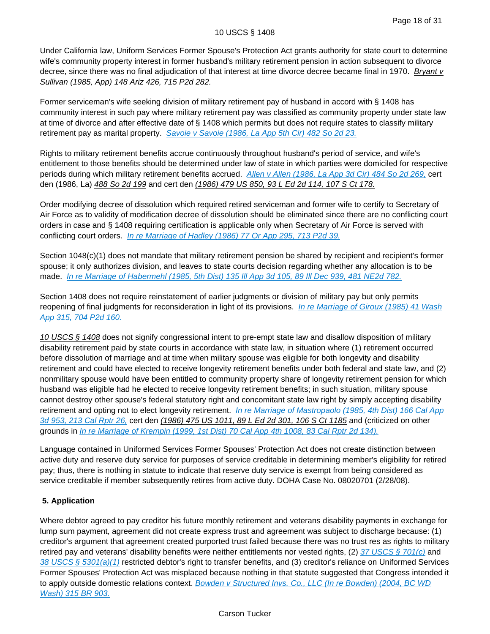Under California law, Uniform Services Former Spouse's Protection Act grants authority for state court to determine wife's community property interest in former husband's military retirement pension in action subsequent to divorce decree, since there was no final adjudication of that interest at time divorce decree became final in 1970. Bryant v Sullivan (1985, App) 148 Ariz 426, 715 P2d 282.

Former serviceman's wife seeking division of military retirement pay of husband in accord with § 1408 has community interest in such pay where military retirement pay was classified as community property under state law at time of divorce and after effective date of § 1408 which permits but does not require states to classify military retirement pay as marital property. [Savoie](http://advance.lexis.com/api/document?collection=cases&id=urn:contentItem:3RX6-JFV0-003G-N409-00000-00&context=) v Savoie (1986, La App 5th Cir) 482 So 2d 23.

Rights to military retirement benefits accrue continuously throughout husband's period of service, and wife's entitlement to those benefits should be determined under law of state in which parties were domiciled for respective periods during which military retirement benefits accrued. Allen v Allen [\(1986,](http://advance.lexis.com/api/document?collection=cases&id=urn:contentItem:3RX6-J8T0-003G-N2Y5-00000-00&context=) La App 3d Cir) 484 So 2d 269, cert den (1986, La) 488 So 2d 199 and cert den (1986) 479 US 850, 93 L Ed 2d 114, 107 S Ct 178.

Order modifying decree of dissolution which required retired serviceman and former wife to certify to Secretary of Air Force as to validity of modification decree of dissolution should be eliminated since there are no conflicting court orders in case and § 1408 requiring certification is applicable only when Secretary of Air Force is served with conflicting court orders. In re [Marriage](http://advance.lexis.com/api/document?collection=cases&id=urn:contentItem:3S3J-YPT0-003F-Y2WR-00000-00&context=) of Hadley (1986) 77 Or App 295, 713 P2d 39.

Section 1048(c)(1) does not mandate that military retirement pension be shared by recipient and recipient's former spouse; it only authorizes division, and leaves to state courts decision regarding whether any allocation is to be made. In re Marriage of [Habermehl](http://advance.lexis.com/api/document?collection=cases&id=urn:contentItem:3RRM-5BB0-0054-H204-00000-00&context=) (1985, 5th Dist) 135 Ill App 3d 105, 89 Ill Dec 939, 481 NE2d 782.

Section 1408 does not require reinstatement of earlier judgments or division of military pay but only permits reopening of final judgments for reconsideration in light of its provisions. In re [Marriage](http://advance.lexis.com/api/document?collection=cases&id=urn:contentItem:3S3J-XH00-003F-W2D1-00000-00&context=) of Giroux (1985) 41 Wash App [315,](http://advance.lexis.com/api/document?collection=cases&id=urn:contentItem:3S3J-XH00-003F-W2D1-00000-00&context=) 704 P2d 160.

10 USCS § 1408 does not signify congressional intent to pre-empt state law and disallow disposition of military disability retirement paid by state courts in accordance with state law, in situation where (1) retirement occurred before dissolution of marriage and at time when military spouse was eligible for both longevity and disability retirement and could have elected to receive longevity retirement benefits under both federal and state law, and (2) nonmilitary spouse would have been entitled to community property share of longevity retirement pension for which husband was eligible had he elected to receive longevity retirement benefits; in such situation, military spouse cannot destroy other spouse's federal statutory right and concomitant state law right by simply accepting disability retirement and opting not to elect longevity retirement. In re Marriage of [Mastropaolo](http://advance.lexis.com/api/document?collection=cases&id=urn:contentItem:3RX6-KMB0-003D-J05C-00000-00&context=) (1985, 4th Dist) 166 Cal App 3d [953,](http://advance.lexis.com/api/document?collection=cases&id=urn:contentItem:3RX6-KMB0-003D-J05C-00000-00&context=) 213 Cal Rptr 26, cert den (1986) 475 US 1011, 89 L Ed 2d 301, 106 S Ct 1185 and (criticized on other grounds in In re [Marriage](http://advance.lexis.com/api/document?collection=cases&id=urn:contentItem:3W25-77P0-0039-41G5-00000-00&context=) of Krempin (1999, 1st Dist) 70 Cal App 4th 1008, 83 Cal Rptr 2d 134).

Language contained in Uniformed Services Former Spouses' Protection Act does not create distinction between active duty and reserve duty service for purposes of service creditable in determining member's eligibility for retired pay; thus, there is nothing in statute to indicate that reserve duty service is exempt from being considered as service creditable if member subsequently retires from active duty. DOHA Case No. 08020701 (2/28/08).

## **5. Application**

Where debtor agreed to pay creditor his future monthly retirement and veterans disability payments in exchange for lump sum payment, agreement did not create express trust and agreement was subject to discharge because: (1) creditor's argument that agreement created purported trust failed because there was no trust res as rights to military retired pay and veterans' disability benefits were neither entitlements nor vested rights, (2) 37 USCS  $\S$  [701\(c\)](http://advance.lexis.com/api/document?collection=statutes-legislation&id=urn:contentItem:4YF7-GSS1-NRF4-4056-00000-00&context=) and 38 USCS §  $5301(a)(1)$  restricted debtor's right to transfer benefits, and (3) creditor's reliance on Uniformed Services Former Spouses' Protection Act was misplaced because nothing in that statute suggested that Congress intended it to apply outside domestic relations context. Bowden v [Structured](http://advance.lexis.com/api/document?collection=cases&id=urn:contentItem:4D8M-47Y0-0039-018H-00000-00&context=) Invs. Co., LLC (In re Bowden) (2004, BC WD [Wash\)](http://advance.lexis.com/api/document?collection=cases&id=urn:contentItem:4D8M-47Y0-0039-018H-00000-00&context=) 315 BR 903.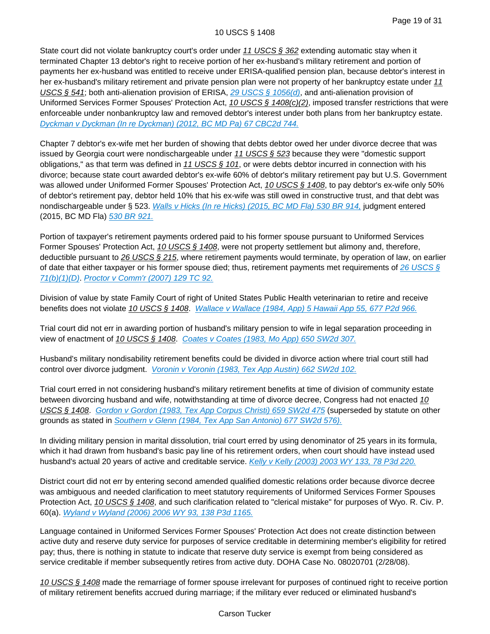State court did not violate bankruptcy court's order under 11 USCS § 362 extending automatic stay when it terminated Chapter 13 debtor's right to receive portion of her ex-husband's military retirement and portion of payments her ex-husband was entitled to receive under ERISA-qualified pension plan, because debtor's interest in her ex-husband's military retirement and private pension plan were not property of her bankruptcy estate under 11 USCS § 541; both anti-alienation provision of ERISA, 29 USCS § [1056\(d\)](http://advance.lexis.com/api/document?collection=statutes-legislation&id=urn:contentItem:4YF7-GR11-NRF4-43XG-00000-00&context=), and anti-alienation provision of Uniformed Services Former Spouses' Protection Act, 10 USCS § 1408(c)(2), imposed transfer restrictions that were enforceable under nonbankruptcy law and removed debtor's interest under both plans from her bankruptcy estate. Dyckman v Dyckman (In re [Dyckman\)](http://advance.lexis.com/api/document?collection=cases&id=urn:contentItem:55F0-F8X1-F04B-300R-00000-00&context=) (2012, BC MD Pa) 67 CBC2d 744.

Chapter 7 debtor's ex-wife met her burden of showing that debts debtor owed her under divorce decree that was issued by Georgia court were nondischargeable under  $11$  USCS  $\S$  523 because they were "domestic support obligations," as that term was defined in 11 USCS  $\S$  101, or were debts debtor incurred in connection with his divorce; because state court awarded debtor's ex-wife 60% of debtor's military retirement pay but U.S. Government was allowed under Uniformed Former Spouses' Protection Act, 10 USCS § 1408, to pay debtor's ex-wife only 50% of debtor's retirement pay, debtor held 10% that his ex-wife was still owed in constructive trust, and that debt was nondischargeable under § 523. Walls v Hicks (In re Hicks) [\(2015,](http://advance.lexis.com/api/document?collection=cases&id=urn:contentItem:5G21-TJ81-F049-002X-00000-00&context=) BC MD Fla) 530 BR 914, judgment entered (2015, BC MD Fla) 530 BR [921.](http://advance.lexis.com/api/document?collection=cases&id=urn:contentItem:5GFJ-4V91-F049-0010-00000-00&context=)

Portion of taxpayer's retirement payments ordered paid to his former spouse pursuant to Uniformed Services Former Spouses' Protection Act, 10 USCS § 1408, were not property settlement but alimony and, therefore, deductible pursuant to 26 USCS § 215, where retirement payments would terminate, by operation of law, on earlier of date that either taxpayer or his former spouse died; thus, retirement payments met requirements of 26 [USCS](http://advance.lexis.com/api/document?collection=statutes-legislation&id=urn:contentItem:4YF7-GNV1-NRF4-42R5-00000-00&context=)  $\S$ [71\(b\)\(1\)\(D\)](http://advance.lexis.com/api/document?collection=statutes-legislation&id=urn:contentItem:4YF7-GNV1-NRF4-42R5-00000-00&context=). Proctor v [Comm'r](http://advance.lexis.com/api/document?collection=cases&id=urn:contentItem:4PW5-7NY0-TX4N-G0YC-00000-00&context=) (2007) 129 TC 92.

Division of value by state Family Court of right of United States Public Health veterinarian to retire and receive benefits does not violate 10 USCS § 1408. [Wallace](http://advance.lexis.com/api/document?collection=cases&id=urn:contentItem:3RX4-1YK0-003F-G44H-00000-00&context=) v Wallace (1984, App) 5 Hawaii App 55, 677 P2d 966.

Trial court did not err in awarding portion of husband's military pension to wife in legal separation proceeding in view of enactment of 10 USCS § 1408. [Coates](http://advance.lexis.com/api/document?collection=cases&id=urn:contentItem:3RX6-F6P0-003F-C2G5-00000-00&context=) v Coates (1983, Mo App) 650 SW2d 307.

Husband's military nondisability retirement benefits could be divided in divorce action where trial court still had control over divorce judgment. [Voronin](http://advance.lexis.com/api/document?collection=cases&id=urn:contentItem:3S3K-4H60-003C-21W6-00000-00&context=) v Voronin (1983, Tex App Austin) 662 SW2d 102.

Trial court erred in not considering husband's military retirement benefits at time of division of community estate between divorcing husband and wife, notwithstanding at time of divorce decree, Congress had not enacted 10 USCS § 1408. [Gordon](http://advance.lexis.com/api/document?collection=cases&id=urn:contentItem:3S3K-4HX0-003C-226G-00000-00&context=) v Gordon (1983, Tex App Corpus Christi) 659 SW2d 475 (superseded by statute on other grounds as stated in [Southern](http://advance.lexis.com/api/document?collection=cases&id=urn:contentItem:3S3K-4C70-003C-2098-00000-00&context=) v Glenn (1984, Tex App San Antonio) 677 SW2d 576).

In dividing military pension in marital dissolution, trial court erred by using denominator of 25 years in its formula, which it had drawn from husband's basic pay line of his retirement orders, when court should have instead used husband's actual 20 years of active and creditable service. Kelly v Kelly [\(2003\)](http://advance.lexis.com/api/document?collection=cases&id=urn:contentItem:49VF-7830-0039-42XB-00000-00&context=) 2003 WY 133, 78 P3d 220.

District court did not err by entering second amended qualified domestic relations order because divorce decree was ambiguous and needed clarification to meet statutory requirements of Uniformed Services Former Spouses Protection Act, 10 USCS § 1408, and such clarification related to "clerical mistake" for purposes of Wyo. R. Civ. P. 60(a). Wyland v [Wyland](http://advance.lexis.com/api/document?collection=cases&id=urn:contentItem:4KKF-X620-0039-4035-00000-00&context=) (2006) 2006 WY 93, 138 P3d 1165.

Language contained in Uniformed Services Former Spouses' Protection Act does not create distinction between active duty and reserve duty service for purposes of service creditable in determining member's eligibility for retired pay; thus, there is nothing in statute to indicate that reserve duty service is exempt from being considered as service creditable if member subsequently retires from active duty. DOHA Case No. 08020701 (2/28/08).

10 USCS § 1408 made the remarriage of former spouse irrelevant for purposes of continued right to receive portion of military retirement benefits accrued during marriage; if the military ever reduced or eliminated husband's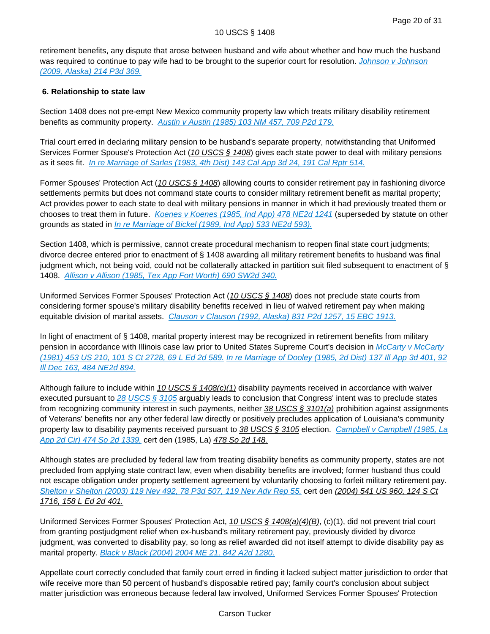retirement benefits, any dispute that arose between husband and wife about whether and how much the husband was required to continue to pay wife had to be brought to the superior court for resolution. [Johnson](http://advance.lexis.com/api/document?collection=cases&id=urn:contentItem:4X49-5FW0-TXFJ-V2B9-00000-00&context=) v Johnson (2009, [Alaska\)](http://advance.lexis.com/api/document?collection=cases&id=urn:contentItem:4X49-5FW0-TXFJ-V2B9-00000-00&context=) 214 P3d 369.

#### **6. Relationship to state law**

Section 1408 does not pre-empt New Mexico community property law which treats military disability retirement benefits as community property. Austin v Austin [\(1985\)](http://advance.lexis.com/api/document?collection=cases&id=urn:contentItem:3S3J-W660-003D-D0CD-00000-00&context=) 103 NM 457, 709 P2d 179.

Trial court erred in declaring military pension to be husband's separate property, notwithstanding that Uniformed Services Former Spouse's Protection Act (10 USCS § 1408) gives each state power to deal with military pensions as it sees fit. In re [Marriage](http://advance.lexis.com/api/document?collection=cases&id=urn:contentItem:3RX6-M960-003D-J3H8-00000-00&context=) of Sarles (1983, 4th Dist) 143 Cal App 3d 24, 191 Cal Rptr 514.

Former Spouses' Protection Act (10 USCS  $\S$  1408) allowing courts to consider retirement pay in fashioning divorce settlements permits but does not command state courts to consider military retirement benefit as marital property; Act provides power to each state to deal with military pensions in manner in which it had previously treated them or chooses to treat them in future. [Koenes](http://advance.lexis.com/api/document?collection=cases&id=urn:contentItem:3RX6-FW70-003F-X3CF-00000-00&context=) v Koenes (1985, Ind App) 478 NE2d 1241 (superseded by statute on other grounds as stated in *In re [Marriage](http://advance.lexis.com/api/document?collection=cases&id=urn:contentItem:3RX4-CFH0-003F-X3D9-00000-00&context=) of Bickel (1989, Ind App) 533 NE2d 593)*.

Section 1408, which is permissive, cannot create procedural mechanism to reopen final state court judgments; divorce decree entered prior to enactment of § 1408 awarding all military retirement benefits to husband was final judgment which, not being void, could not be collaterally attacked in partition suit filed subsequent to enactment of § 1408. Allison v Allison (1985, Tex App Fort [Worth\)](http://advance.lexis.com/api/document?collection=cases&id=urn:contentItem:3S3K-44B0-003C-2236-00000-00&context=) 690 SW2d 340.

Uniformed Services Former Spouses' Protection Act (10 USCS § 1408) does not preclude state courts from considering former spouse's military disability benefits received in lieu of waived retirement pay when making equitable division of marital assets. [Clauson](http://advance.lexis.com/api/document?collection=cases&id=urn:contentItem:3RX3-W780-003C-G0Y1-00000-00&context=) v Clauson (1992, Alaska) 831 P2d 1257, 15 EBC 1913.

In light of enactment of § 1408, marital property interest may be recognized in retirement benefits from military pension in accordance with Illinois case law prior to United States Supreme Court's decision in [McCarty](http://advance.lexis.com/api/document?collection=cases&id=urn:contentItem:3S4X-69N0-003B-S07V-00000-00&context=) v McCarty [\(1981\)](http://advance.lexis.com/api/document?collection=cases&id=urn:contentItem:3S4X-69N0-003B-S07V-00000-00&context=) 453 US 210, 101 S Ct 2728, 69 L Ed 2d 589. In re [Marriage](http://advance.lexis.com/api/document?collection=cases&id=urn:contentItem:3RRM-56C0-0054-H1DV-00000-00&context=) of Dooley (1985, 2d Dist) 137 Ill App 3d 401, 92 Ill Dec 163, 484 [NE2d](http://advance.lexis.com/api/document?collection=cases&id=urn:contentItem:3RRM-56C0-0054-H1DV-00000-00&context=) 894.

Although failure to include within 10 USCS § 1408(c)(1) disability payments received in accordance with waiver executed pursuant to 28 [USCS](http://advance.lexis.com/api/document?collection=statutes-legislation&id=urn:contentItem:4YF7-GK61-NRF4-42KK-00000-00&context=) § 3105 arguably leads to conclusion that Congress' intent was to preclude states from recognizing community interest in such payments, neither 38 USCS § 3101(a) prohibition against assignments of Veterans' benefits nor any other federal law directly or positively precludes application of Louisiana's community property law to disability payments received pursuant to 38 USCS § 3105 election. [Campbell](http://advance.lexis.com/api/document?collection=cases&id=urn:contentItem:3S3K-4XD0-008T-X2KH-00000-00&context=) v Campbell (1985, La App 2d Cir) 474 So 2d [1339,](http://advance.lexis.com/api/document?collection=cases&id=urn:contentItem:3S3K-4XD0-008T-X2KH-00000-00&context=) cert den (1985, La) 478 So 2d 148.

Although states are precluded by federal law from treating disability benefits as community property, states are not precluded from applying state contract law, even when disability benefits are involved; former husband thus could not escape obligation under property settlement agreement by voluntarily choosing to forfeit military retirement pay. [Shelton](http://advance.lexis.com/api/document?collection=cases&id=urn:contentItem:49WP-38V0-0039-40NS-00000-00&context=) v Shelton (2003) 119 Nev 492, 78 P3d 507, 119 Nev Adv Rep 55, cert den (2004) 541 US 960, 124 S Ct 1716, 158 L Ed 2d 401.

Uniformed Services Former Spouses' Protection Act, 10 USCS § 1408(a)(4)(B), (c)(1), did not prevent trial court from granting postjudgment relief when ex-husband's military retirement pay, previously divided by divorce judgment, was converted to disability pay, so long as relief awarded did not itself attempt to divide disability pay as marital property. Black v Black [\(2004\)](http://advance.lexis.com/api/document?collection=cases&id=urn:contentItem:4BT2-M0W0-0039-43SF-00000-00&context=) 2004 ME 21, 842 A2d 1280.

Appellate court correctly concluded that family court erred in finding it lacked subject matter jurisdiction to order that wife receive more than 50 percent of husband's disposable retired pay; family court's conclusion about subject matter jurisdiction was erroneous because federal law involved, Uniformed Services Former Spouses' Protection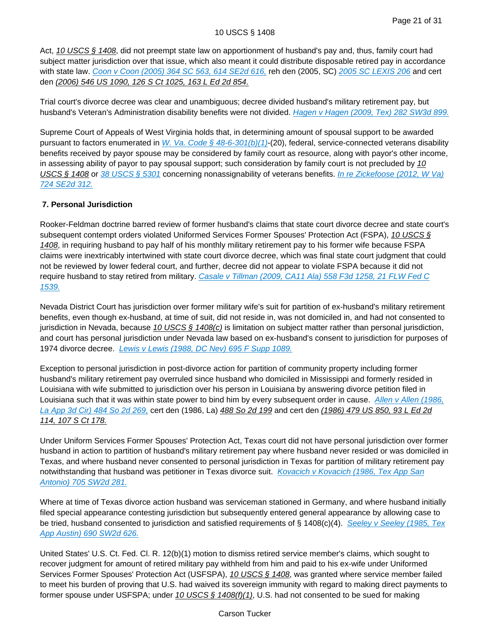Act, 10 USCS § 1408, did not preempt state law on apportionment of husband's pay and, thus, family court had subject matter jurisdiction over that issue, which also meant it could distribute disposable retired pay in accordance with state law. Coon v Coon [\(2005\)](http://advance.lexis.com/api/document?collection=cases&id=urn:contentItem:4G9K-4DC0-0039-4273-00000-00&context=) 364 SC 563, 614 SE2d 616, reh den (2005, SC) 2005 SC [LEXIS](http://advance.lexis.com/api/document?collection=cases&id=urn:contentItem:4GMS-43G0-TVWP-1335-00000-00&context=) 206 and cert den (2006) 546 US 1090, 126 S Ct 1025, 163 L Ed 2d 854.

Trial court's divorce decree was clear and unambiguous; decree divided husband's military retirement pay, but husband's Veteran's Administration disability benefits were not divided. [Hagen](http://advance.lexis.com/api/document?collection=cases&id=urn:contentItem:7VMC-TCJ0-Y9NK-S3NX-00000-00&context=) v Hagen (2009, Tex) 282 SW3d 899.

Supreme Court of Appeals of West Virginia holds that, in determining amount of spousal support to be awarded pursuant to factors enumerated in W. Va. Code § [48-6-301\(b\)\(1\)](http://advance.lexis.com/api/document?collection=statutes-legislation&id=urn:contentItem:56W2-9721-64R1-B03K-00000-00&context=)-(20), federal, service-connected veterans disability benefits received by payor spouse may be considered by family court as resource, along with payor's other income, in assessing ability of payor to pay spousal support; such consideration by family court is not precluded by 10 USCS § 1408 or 38 [USCS](http://advance.lexis.com/api/document?collection=statutes-legislation&id=urn:contentItem:4YF7-GR11-NRF4-4458-00000-00&context=) § 5301 concerning nonassignability of veterans benefits. In re [Zickefoose](http://advance.lexis.com/api/document?collection=cases&id=urn:contentItem:54XX-3X71-F04M-G17H-00000-00&context=) (2012, W Va) 724 [SE2d](http://advance.lexis.com/api/document?collection=cases&id=urn:contentItem:54XX-3X71-F04M-G17H-00000-00&context=) 312.

## **7. Personal Jurisdiction**

Rooker-Feldman doctrine barred review of former husband's claims that state court divorce decree and state court's subsequent contempt orders violated Uniformed Services Former Spouses' Protection Act (FSPA), 10 USCS § 1408, in requiring husband to pay half of his monthly military retirement pay to his former wife because FSPA claims were inextricably intertwined with state court divorce decree, which was final state court judgment that could not be reviewed by lower federal court, and further, decree did not appear to violate FSPA because it did not require husband to stay retired from military. Casale v [Tillman](http://advance.lexis.com/api/document?collection=cases&id=urn:contentItem:4VMS-JSP0-TXFX-G2C3-00000-00&context=) (2009, CA11 Ala) 558 F3d 1258, 21 FLW Fed C [1539.](http://advance.lexis.com/api/document?collection=cases&id=urn:contentItem:4VMS-JSP0-TXFX-G2C3-00000-00&context=)

Nevada District Court has jurisdiction over former military wife's suit for partition of ex-husband's military retirement benefits, even though ex-husband, at time of suit, did not reside in, was not domiciled in, and had not consented to jurisdiction in Nevada, because 10 USCS § 1408(c) is limitation on subject matter rather than personal jurisdiction, and court has personal jurisdiction under Nevada law based on ex-husband's consent to jurisdiction for purposes of 1974 divorce decree. Lewis v Lewis [\(1988,](http://advance.lexis.com/api/document?collection=cases&id=urn:contentItem:3S4N-7WJ0-003B-62SR-00000-00&context=) DC Nev) 695 F Supp 1089.

Exception to personal jurisdiction in post-divorce action for partition of community property including former husband's military retirement pay overruled since husband who domiciled in Mississippi and formerly resided in Louisiana with wife submitted to jurisdiction over his person in Louisiana by answering divorce petition filed in Louisiana such that it was within state power to bind him by every subsequent order in cause. Allen v Allen [\(1986,](http://advance.lexis.com/api/document?collection=cases&id=urn:contentItem:3RX6-J8T0-003G-N2Y5-00000-00&context=) La App 3d Cir) 484 So 2d [269,](http://advance.lexis.com/api/document?collection=cases&id=urn:contentItem:3RX6-J8T0-003G-N2Y5-00000-00&context=) cert den (1986, La) 488 So 2d 199 and cert den (1986) 479 US 850, 93 L Ed 2d 114, 107 S Ct 178.

Under Uniform Services Former Spouses' Protection Act, Texas court did not have personal jurisdiction over former husband in action to partition of husband's military retirement pay where husband never resided or was domiciled in Texas, and where husband never consented to personal jurisdiction in Texas for partition of military retirement pay notwithstanding that husband was petitioner in Texas divorce suit. [Kovacich](http://advance.lexis.com/api/document?collection=cases&id=urn:contentItem:3S3K-3XP0-003C-24WW-00000-00&context=) v Kovacich (1986, Tex App San [Antonio\)](http://advance.lexis.com/api/document?collection=cases&id=urn:contentItem:3S3K-3XP0-003C-24WW-00000-00&context=) 705 SW2d 281.

Where at time of Texas divorce action husband was serviceman stationed in Germany, and where husband initially filed special appearance contesting jurisdiction but subsequently entered general appearance by allowing case to be tried, husband consented to jurisdiction and satisfied requirements of  $\S$  1408(c)(4). [Seeley](http://advance.lexis.com/api/document?collection=cases&id=urn:contentItem:3S3K-4580-003C-22M9-00000-00&context=) v Seeley (1985, Tex App [Austin\)](http://advance.lexis.com/api/document?collection=cases&id=urn:contentItem:3S3K-4580-003C-22M9-00000-00&context=) 690 SW2d 626.

United States' U.S. Ct. Fed. Cl. R. 12(b)(1) motion to dismiss retired service member's claims, which sought to recover judgment for amount of retired military pay withheld from him and paid to his ex-wife under Uniformed Services Former Spouses' Protection Act (USFSPA), 10 USCS § 1408, was granted where service member failed to meet his burden of proving that U.S. had waived its sovereign immunity with regard to making direct payments to former spouse under USFSPA; under 10 USCS § 1408(f)(1), U.S. had not consented to be sued for making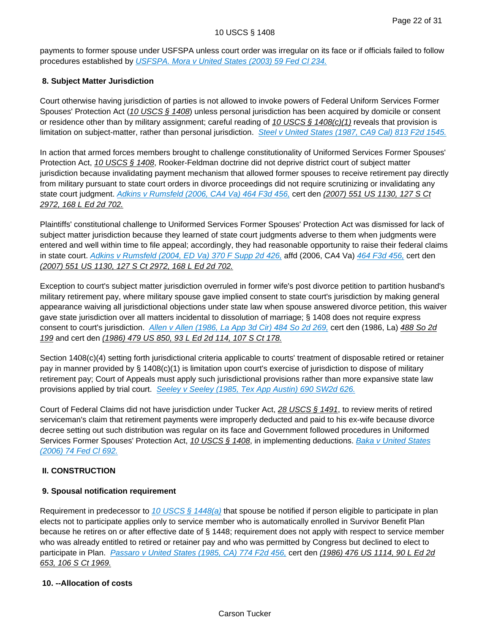payments to former spouse under USFSPA unless court order was irregular on its face or if officials failed to follow procedures established by [USFSPA.](http://advance.lexis.com/api/document?collection=cases&id=urn:contentItem:4BDD-2YH0-0004-S1V4-00000-00&context=) Mora v United States (2003) 59 Fed Cl 234.

## **8. Subject Matter Jurisdiction**

Court otherwise having jurisdiction of parties is not allowed to invoke powers of Federal Uniform Services Former Spouses' Protection Act (10 USCS § 1408) unless personal jurisdiction has been acquired by domicile or consent or residence other than by military assignment; careful reading of 10 USCS § 1408(c)(1) reveals that provision is limitation on subject-matter, rather than personal jurisdiction. Steel v [United](http://advance.lexis.com/api/document?collection=cases&id=urn:contentItem:3S4X-BPH0-001B-K2DR-00000-00&context=) States (1987, CA9 Cal) 813 F2d 1545.

In action that armed forces members brought to challenge constitutionality of Uniformed Services Former Spouses' Protection Act, 10 USCS § 1408, Rooker-Feldman doctrine did not deprive district court of subject matter jurisdiction because invalidating payment mechanism that allowed former spouses to receive retirement pay directly from military pursuant to state court orders in divorce proceedings did not require scrutinizing or invalidating any state court judgment. Adkins v [Rumsfeld](http://advance.lexis.com/api/document?collection=cases&id=urn:contentItem:4KXG-B960-0038-X0HS-00000-00&context=) (2006, CA4 Va) 464 F3d 456, cert den (2007) 551 US 1130, 127 S Ct 2972, 168 L Ed 2d 702.

Plaintiffs' constitutional challenge to Uniformed Services Former Spouses' Protection Act was dismissed for lack of subject matter jurisdiction because they learned of state court judgments adverse to them when judgments were entered and well within time to file appeal; accordingly, they had reasonable opportunity to raise their federal claims in state court. Adkins v [Rumsfeld](http://advance.lexis.com/api/document?collection=cases&id=urn:contentItem:4G53-J2D0-TVX8-T201-00000-00&context=) (2004, ED Va) 370 F Supp 2d 426, affd (2006, CA4 Va) 464 F3d [456,](http://advance.lexis.com/api/document?collection=cases&id=urn:contentItem:4KXG-B960-0038-X0HS-00000-00&context=) cert den (2007) 551 US 1130, 127 S Ct 2972, 168 L Ed 2d 702.

Exception to court's subject matter jurisdiction overruled in former wife's post divorce petition to partition husband's military retirement pay, where military spouse gave implied consent to state court's jurisdiction by making general appearance waiving all jurisdictional objections under state law when spouse answered divorce petition, this waiver gave state jurisdiction over all matters incidental to dissolution of marriage; § 1408 does not require express consent to court's jurisdiction. Allen v Allen [\(1986,](http://advance.lexis.com/api/document?collection=cases&id=urn:contentItem:3RX6-J8T0-003G-N2Y5-00000-00&context=) La App 3d Cir) 484 So 2d 269, cert den (1986, La) 488 So 2d 199 and cert den (1986) 479 US 850, 93 L Ed 2d 114, 107 S Ct 178.

Section 1408(c)(4) setting forth jurisdictional criteria applicable to courts' treatment of disposable retired or retainer pay in manner provided by § 1408(c)(1) is limitation upon court's exercise of jurisdiction to dispose of military retirement pay; Court of Appeals must apply such jurisdictional provisions rather than more expansive state law provisions applied by trial court. Seeley v Seeley (1985, Tex App [Austin\)](http://advance.lexis.com/api/document?collection=cases&id=urn:contentItem:3S3K-4580-003C-22M9-00000-00&context=) 690 SW2d 626.

Court of Federal Claims did not have jurisdiction under Tucker Act, 28 USCS § 1491, to review merits of retired serviceman's claim that retirement payments were improperly deducted and paid to his ex-wife because divorce decree setting out such distribution was regular on its face and Government followed procedures in Uniformed Services Former Spouses' Protection Act, 10 USCS § 1408, in implementing deductions. Baka v [United](http://advance.lexis.com/api/document?collection=cases&id=urn:contentItem:4MH8-72C0-0004-S18T-00000-00&context=) States [\(2006\)](http://advance.lexis.com/api/document?collection=cases&id=urn:contentItem:4MH8-72C0-0004-S18T-00000-00&context=) 74 Fed Cl 692.

## **II. CONSTRUCTION**

#### **9. Spousal notification requirement**

Requirement in predecessor to 10 USCS  $\S$  [1448\(a\)](http://advance.lexis.com/api/document?collection=statutes-legislation&id=urn:contentItem:4YF7-GMT1-NRF4-42TV-00000-00&context=) that spouse be notified if person eligible to participate in plan elects not to participate applies only to service member who is automatically enrolled in Survivor Benefit Plan because he retires on or after effective date of § 1448; requirement does not apply with respect to service member who was already entitled to retired or retainer pay and who was permitted by Congress but declined to elect to participate in Plan. [Passaro](http://advance.lexis.com/api/document?collection=cases&id=urn:contentItem:3S4V-K0N0-0039-V0YS-00000-00&context=) v United States (1985, CA) 774 F2d 456, cert den (1986) 476 US 1114, 90 L Ed 2d 653, 106 S Ct 1969.

#### **10. --Allocation of costs**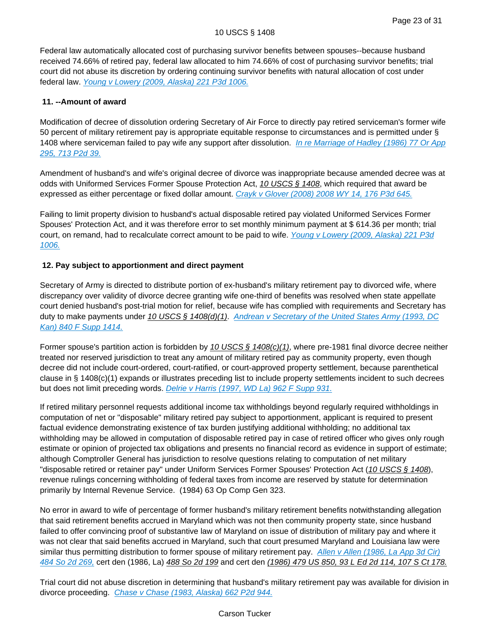Federal law automatically allocated cost of purchasing survivor benefits between spouses--because husband received 74.66% of retired pay, federal law allocated to him 74.66% of cost of purchasing survivor benefits; trial court did not abuse its discretion by ordering continuing survivor benefits with natural allocation of cost under federal law. Young v Lowery (2009, [Alaska\)](http://advance.lexis.com/api/document?collection=cases&id=urn:contentItem:7XD1-XP00-YB0H-4000-00000-00&context=) 221 P3d 1006.

#### **11. --Amount of award**

Modification of decree of dissolution ordering Secretary of Air Force to directly pay retired serviceman's former wife 50 percent of military retirement pay is appropriate equitable response to circumstances and is permitted under § 1408 where serviceman failed to pay wife any support after dissolution. In re [Marriage](http://advance.lexis.com/api/document?collection=cases&id=urn:contentItem:3S3J-YPT0-003F-Y2WR-00000-00&context=) of Hadley (1986) 77 Or App [295,](http://advance.lexis.com/api/document?collection=cases&id=urn:contentItem:3S3J-YPT0-003F-Y2WR-00000-00&context=) 713 P2d 39.

Amendment of husband's and wife's original decree of divorce was inappropriate because amended decree was at odds with Uniformed Services Former Spouse Protection Act, 10 USCS § 1408, which required that award be expressed as either percentage or fixed dollar amount. Crayk v [Glover](http://advance.lexis.com/api/document?collection=cases&id=urn:contentItem:4RSX-78D0-TXFY-32WV-00000-00&context=) (2008) 2008 WY 14, 176 P3d 645.

Failing to limit property division to husband's actual disposable retired pay violated Uniformed Services Former Spouses' Protection Act, and it was therefore error to set monthly minimum payment at \$ 614.36 per month; trial court, on remand, had to recalculate correct amount to be paid to wife. Young v Lowery (2009, [Alaska\)](http://advance.lexis.com/api/document?collection=cases&id=urn:contentItem:7XD1-XP00-YB0H-4000-00000-00&context=) 221 P3d [1006.](http://advance.lexis.com/api/document?collection=cases&id=urn:contentItem:7XD1-XP00-YB0H-4000-00000-00&context=)

#### **12. Pay subject to apportionment and direct payment**

Secretary of Army is directed to distribute portion of ex-husband's military retirement pay to divorced wife, where discrepancy over validity of divorce decree granting wife one-third of benefits was resolved when state appellate court denied husband's post-trial motion for relief, because wife has complied with requirements and Secretary has duty to make payments under 10 USCS § 1408(d)(1). Andrean v [Secretary](http://advance.lexis.com/api/document?collection=cases&id=urn:contentItem:3S4N-B170-001T-621D-00000-00&context=) of the United States Army (1993, DC Kan) 840 F Supp [1414.](http://advance.lexis.com/api/document?collection=cases&id=urn:contentItem:3S4N-B170-001T-621D-00000-00&context=)

Former spouse's partition action is forbidden by 10 USCS § 1408(c)(1), where pre-1981 final divorce decree neither treated nor reserved jurisdiction to treat any amount of military retired pay as community property, even though decree did not include court-ordered, court-ratified, or court-approved property settlement, because parenthetical clause in § 1408(c)(1) expands or illustrates preceding list to include property settlements incident to such decrees but does not limit preceding words. Delrie v Harris [\(1997,](http://advance.lexis.com/api/document?collection=cases&id=urn:contentItem:3S4N-B3W0-00B1-F08F-00000-00&context=) WD La) 962 F Supp 931.

If retired military personnel requests additional income tax withholdings beyond regularly required withholdings in computation of net or "disposable" military retired pay subject to apportionment, applicant is required to present factual evidence demonstrating existence of tax burden justifying additional withholding; no additional tax withholding may be allowed in computation of disposable retired pay in case of retired officer who gives only rough estimate or opinion of projected tax obligations and presents no financial record as evidence in support of estimate; although Comptroller General has jurisdiction to resolve questions relating to computation of net military "disposable retired or retainer pay" under Uniform Services Former Spouses' Protection Act (10 USCS § 1408), revenue rulings concerning withholding of federal taxes from income are reserved by statute for determination primarily by Internal Revenue Service. (1984) 63 Op Comp Gen 323.

No error in award to wife of percentage of former husband's military retirement benefits notwithstanding allegation that said retirement benefits accrued in Maryland which was not then community property state, since husband failed to offer convincing proof of substantive law of Maryland on issue of distribution of military pay and where it was not clear that said benefits accrued in Maryland, such that court presumed Maryland and Louisiana law were similar thus permitting distribution to former spouse of military retirement pay. Allen v Allen [\(1986,](http://advance.lexis.com/api/document?collection=cases&id=urn:contentItem:3RX6-J8T0-003G-N2Y5-00000-00&context=) La App 3d Cir) 484 So 2d [269,](http://advance.lexis.com/api/document?collection=cases&id=urn:contentItem:3RX6-J8T0-003G-N2Y5-00000-00&context=) cert den (1986, La) 488 So 2d 199 and cert den (1986) 479 US 850, 93 L Ed 2d 114, 107 S Ct 178.

Trial court did not abuse discretion in determining that husband's military retirement pay was available for division in divorce proceeding. Chase v Chase (1983, [Alaska\)](http://advance.lexis.com/api/document?collection=cases&id=urn:contentItem:3RRJ-1D60-000H-80RC-00000-00&context=) 662 P2d 944.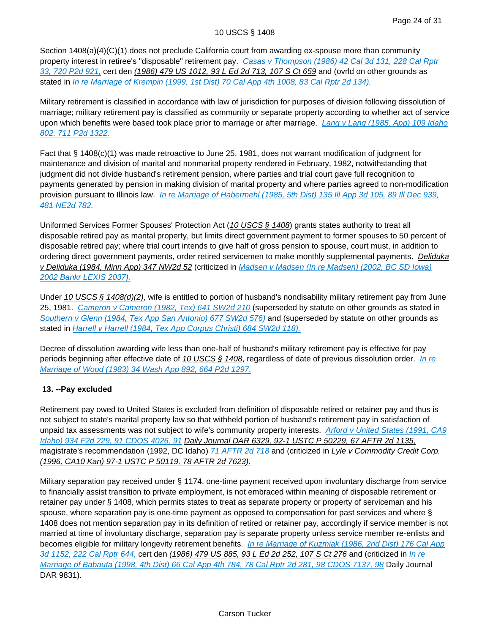Section 1408(a)(4)(C)(1) does not preclude California court from awarding ex-spouse more than community property interest in retiree's "disposable" retirement pay. Casas v [Thompson](http://advance.lexis.com/api/document?collection=cases&id=urn:contentItem:3RX4-CV50-003D-J17D-00000-00&context=) (1986) 42 Cal 3d 131, 228 Cal Rptr 33, 720 P2d [921,](http://advance.lexis.com/api/document?collection=cases&id=urn:contentItem:3RX4-CV50-003D-J17D-00000-00&context=) cert den (1986) 479 US 1012, 93 L Ed 2d 713, 107 S Ct 659 and (ovrld on other grounds as stated in In re [Marriage](http://advance.lexis.com/api/document?collection=cases&id=urn:contentItem:3W25-77P0-0039-41G5-00000-00&context=) of Krempin (1999, 1st Dist) 70 Cal App 4th 1008, 83 Cal Rptr 2d 134).

Military retirement is classified in accordance with law of jurisdiction for purposes of division following dissolution of marriage; military retirement pay is classified as community or separate property according to whether act of service upon which benefits were based took place prior to marriage or after marriage. Lang v Lang [\(1985,](http://advance.lexis.com/api/document?collection=cases&id=urn:contentItem:3RX4-3620-003D-30WW-00000-00&context=) App) 109 Idaho 802, 711 P2d [1322.](http://advance.lexis.com/api/document?collection=cases&id=urn:contentItem:3RX4-3620-003D-30WW-00000-00&context=)

Fact that § 1408(c)(1) was made retroactive to June 25, 1981, does not warrant modification of judgment for maintenance and division of marital and nonmarital property rendered in February, 1982, notwithstanding that judgment did not divide husband's retirement pension, where parties and trial court gave full recognition to payments generated by pension in making division of marital property and where parties agreed to non-modification provision pursuant to Illinois law. In re Marriage of [Habermehl](http://advance.lexis.com/api/document?collection=cases&id=urn:contentItem:3RRM-5BB0-0054-H204-00000-00&context=) (1985, 5th Dist) 135 Ill App 3d 105, 89 Ill Dec 939, 481 [NE2d](http://advance.lexis.com/api/document?collection=cases&id=urn:contentItem:3RRM-5BB0-0054-H204-00000-00&context=) 782.

Uniformed Services Former Spouses' Protection Act (10 USCS § 1408) grants states authority to treat all disposable retired pay as marital property, but limits direct government payment to former spouses to 50 percent of disposable retired pay; where trial court intends to give half of gross pension to spouse, court must, in addition to ordering direct government payments, order retired servicemen to make monthly supplemental payments. Deliduka v Deliduka (1984, Minn App) 347 NW2d 52 (criticized in Madsen v Madsen (In re [Madsen\)](http://advance.lexis.com/api/document?collection=cases&id=urn:contentItem:800W-VGM1-652D-J05W-00000-00&context=) (2002, BC SD Iowa) 2002 Bankr [LEXIS](http://advance.lexis.com/api/document?collection=cases&id=urn:contentItem:800W-VGM1-652D-J05W-00000-00&context=) 2037).

Under 10 USCS § 1408(d)(2), wife is entitled to portion of husband's nondisability military retirement pay from June 25, 1981. [Cameron](http://advance.lexis.com/api/document?collection=cases&id=urn:contentItem:3S3J-WFK0-003C-231R-00000-00&context=) v Cameron (1982, Tex) 641 SW2d 210 (superseded by statute on other grounds as stated in [Southern](http://advance.lexis.com/api/document?collection=cases&id=urn:contentItem:3S3K-4C70-003C-2098-00000-00&context=) v Glenn (1984, Tex App San Antonio) 677 SW2d 576) and (superseded by statute on other grounds as stated in Harrell v Harrell (1984, Tex App [Corpus](http://advance.lexis.com/api/document?collection=cases&id=urn:contentItem:3S3K-48S0-003C-24CH-00000-00&context=) Christi) 684 SW2d 118).

Decree of dissolution awarding wife less than one-half of husband's military retirement pay is effective for pay periods beginning after effective date of 10 USCS § 1408, [re](http://advance.lexis.com/api/document?collection=cases&id=urn:contentItem:3S3J-XN00-003F-W0DS-00000-00&context=)gardless of date of previous dissolution order. In re [Marriage](http://advance.lexis.com/api/document?collection=cases&id=urn:contentItem:3S3J-XN00-003F-W0DS-00000-00&context=) of Wood (1983) 34 Wash App 892, 664 P2d 1297.

## **13. --Pay excluded**

Retirement pay owed to United States is excluded from definition of disposable retired or retainer pay and thus is not subject to state's marital property law so that withheld portion of husband's retirement pay in satisfaction of unpaid tax assessments was not subject to wife's community property interests. Arford v [United](http://advance.lexis.com/api/document?collection=cases&id=urn:contentItem:3S42-C270-008H-V0B5-00000-00&context=) States (1991, CA9 Idaho) 934 F2d 229, 91 [CDOS](http://advance.lexis.com/api/document?collection=cases&id=urn:contentItem:3S42-C270-008H-V0B5-00000-00&context=) 4026, 91 Daily Journal DAR 6329, 92-1 USTC P 50229, 67 AFTR 2d 1135, magistrate's recommendation (1992, DC Idaho) 71 [AFTR](http://advance.lexis.com/api/document?collection=cases&id=urn:contentItem:3S4N-F1T0-008H-F1MH-00000-00&context=) 2d 718 and (criticized in Lyle v Commodity Credit Corp. (1996, CA10 Kan) 97-1 USTC P 50119, 78 AFTR 2d 7623).

Military separation pay received under § 1174, one-time payment received upon involuntary discharge from service to financially assist transition to private employment, is not embraced within meaning of disposable retirement or retainer pay under § 1408, which permits states to treat as separate property or property of serviceman and his spouse, where separation pay is one-time payment as opposed to compensation for past services and where § 1408 does not mention separation pay in its definition of retired or retainer pay, accordingly if service member is not married at time of involuntary discharge, separation pay is separate property unless service member re-enlists and becomes eligible for military longevity retirement benefits. In re [Marriage](http://advance.lexis.com/api/document?collection=cases&id=urn:contentItem:3RX6-K830-003D-J3Y9-00000-00&context=) of Kuzmiak (1986, 2nd Dist) 176 Cal App 3d [1152,](http://advance.lexis.com/api/document?collection=cases&id=urn:contentItem:3RX6-K830-003D-J3Y9-00000-00&context=) 222 Cal Rptr 644, cert den (1986) 479 US 885, 93 L Ed 2d 252, 107 S Ct 276 and (criticized in *In [re](http://advance.lexis.com/api/document?collection=cases&id=urn:contentItem:3TKR-Y5M0-0039-42VR-00000-00&context=)* [Marriage](http://advance.lexis.com/api/document?collection=cases&id=urn:contentItem:3TKR-Y5M0-0039-42VR-00000-00&context=) of Babauta (1998, 4th Dist) 66 Cal App 4th 784, 78 Cal Rptr 2d 281, 98 CDOS 7137, 98 Daily Journal DAR 9831).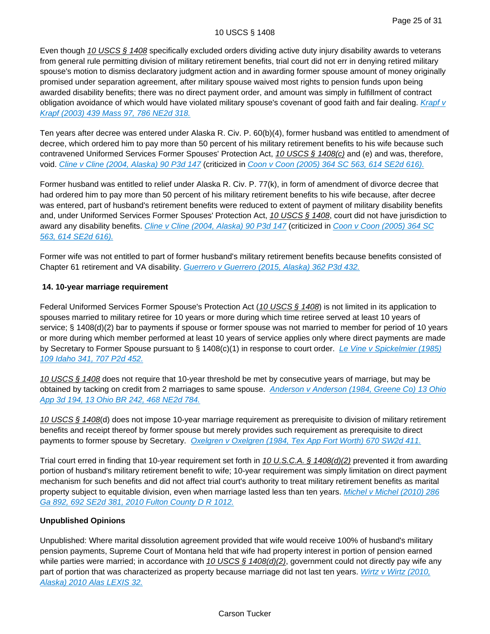Even though 10 USCS § 1408 specifically excluded orders dividing active duty injury disability awards to veterans from general rule permitting division of military retirement benefits, trial court did not err in denying retired military spouse's motion to dismiss declaratory judgment action and in awarding former spouse amount of money originally promised under separation agreement, after military spouse waived most rights to pension funds upon being awarded disability benefits; there was no direct payment order, and amount was simply in fulfillment of contract obligation avoidance of which would have violated military spouse's covenant of good faith and fair dealing. [Krapf](http://advance.lexis.com/api/document?collection=cases&id=urn:contentItem:488W-D9B0-0039-43NH-00000-00&context=) v Krapf [\(2003\)](http://advance.lexis.com/api/document?collection=cases&id=urn:contentItem:488W-D9B0-0039-43NH-00000-00&context=) 439 Mass 97, 786 NE2d 318.

Ten years after decree was entered under Alaska R. Civ. P. 60(b)(4), former husband was entitled to amendment of decree, which ordered him to pay more than 50 percent of his military retirement benefits to his wife because such contravened Uniformed Services Former Spouses' Protection Act, 10 USCS § 1408(c) and (e) and was, therefore, void. Cline v Cline (2004, [Alaska\)](http://advance.lexis.com/api/document?collection=cases&id=urn:contentItem:4C9C-MDH0-0039-42WH-00000-00&context=) 90 P3d 147 (criticized in Coon v Coon [\(2005\)](http://advance.lexis.com/api/document?collection=cases&id=urn:contentItem:4G9K-4DC0-0039-4273-00000-00&context=) 364 SC 563, 614 SE2d 616).

Former husband was entitled to relief under Alaska R. Civ. P. 77(k), in form of amendment of divorce decree that had ordered him to pay more than 50 percent of his military retirement benefits to his wife because, after decree was entered, part of husband's retirement benefits were reduced to extent of payment of military disability benefits and, under Uniformed Services Former Spouses' Protection Act, 10 USCS § 1408, court did not have jurisdiction to award any disability benefits. Cline v Cline (2004, [Alaska\)](http://advance.lexis.com/api/document?collection=cases&id=urn:contentItem:4C9C-MDH0-0039-42WH-00000-00&context=) 90 P3d 147 (criticized in Coon v Coon [\(2005\)](http://advance.lexis.com/api/document?collection=cases&id=urn:contentItem:4G9K-4DC0-0039-4273-00000-00&context=) 364 SC 563, 614 [SE2d](http://advance.lexis.com/api/document?collection=cases&id=urn:contentItem:4G9K-4DC0-0039-4273-00000-00&context=) 616).

Former wife was not entitled to part of former husband's military retirement benefits because benefits consisted of Chapter 61 retirement and VA disability. [Guerrero](http://advance.lexis.com/api/document?collection=cases&id=urn:contentItem:5GYC-H5P1-F048-8009-00000-00&context=) v Guerrero (2015, Alaska) 362 P3d 432.

#### **14. 10-year marriage requirement**

Federal Uniformed Services Former Spouse's Protection Act (10 USCS § 1408) is not limited in its application to spouses married to military retiree for 10 years or more during which time retiree served at least 10 years of service; § 1408(d)(2) bar to payments if spouse or former spouse was not married to member for period of 10 years or more during which member performed at least 10 years of service applies only where direct payments are made by Secretary to Former Spouse pursuant to § 1408(c)(1) in response to court order. Le Vine v [Spickelmier](http://advance.lexis.com/api/document?collection=cases&id=urn:contentItem:3RX4-1P30-003D-32GM-00000-00&context=) (1985) 109 [Idaho](http://advance.lexis.com/api/document?collection=cases&id=urn:contentItem:3RX4-1P30-003D-32GM-00000-00&context=) 341, 707 P2d 452.

10 USCS § 1408 does not require that 10-year threshold be met by consecutive years of marriage, but may be obtained by tacking on credit from 2 marriages to same spouse. [Anderson](http://advance.lexis.com/api/document?collection=cases&id=urn:contentItem:3RRS-M2H0-0054-C4VB-00000-00&context=) v Anderson (1984, Greene Co) 13 Ohio App 3d 194, 13 Ohio BR 242, 468 [NE2d](http://advance.lexis.com/api/document?collection=cases&id=urn:contentItem:3RRS-M2H0-0054-C4VB-00000-00&context=) 784.

10 USCS § 1408(d) does not impose 10-year marriage requirement as prerequisite to division of military retirement benefits and receipt thereof by former spouse but merely provides such requirement as prerequisite to direct payments to former spouse by Secretary. [Oxelgren](http://advance.lexis.com/api/document?collection=cases&id=urn:contentItem:3S3K-4CW0-003C-20JM-00000-00&context=) v Oxelgren (1984, Tex App Fort Worth) 670 SW2d 411.

Trial court erred in finding that 10-year requirement set forth in 10 U.S.C.A. § 1408(d)(2) prevented it from awarding portion of husband's military retirement benefit to wife; 10-year requirement was simply limitation on direct payment mechanism for such benefits and did not affect trial court's authority to treat military retirement benefits as marital property subject to equitable division, even when marriage lasted less than ten years. Michel v Michel [\(2010\)](http://advance.lexis.com/api/document?collection=cases&id=urn:contentItem:7Y44-KG50-YB0P-P031-00000-00&context=) 286 Ga 892, 692 SE2d 381, 2010 Fulton [County](http://advance.lexis.com/api/document?collection=cases&id=urn:contentItem:7Y44-KG50-YB0P-P031-00000-00&context=) D R 1012.

#### **Unpublished Opinions**

Unpublished: Where marital dissolution agreement provided that wife would receive 100% of husband's military pension payments, Supreme Court of Montana held that wife had property interest in portion of pension earned while parties were married; in accordance with 10 USCS  $\frac{6}{3}$  1408(d)(2), government could not directly pay wife any part of portion that was characterized as property because marriage did not last ten years. Wirtz v Wirtz [\(2010,](http://advance.lexis.com/api/document?collection=cases&id=urn:contentItem:7Y33-HC70-YB0H-4009-00000-00&context=) [Alaska\)](http://advance.lexis.com/api/document?collection=cases&id=urn:contentItem:7Y33-HC70-YB0H-4009-00000-00&context=) 2010 Alas LEXIS 32.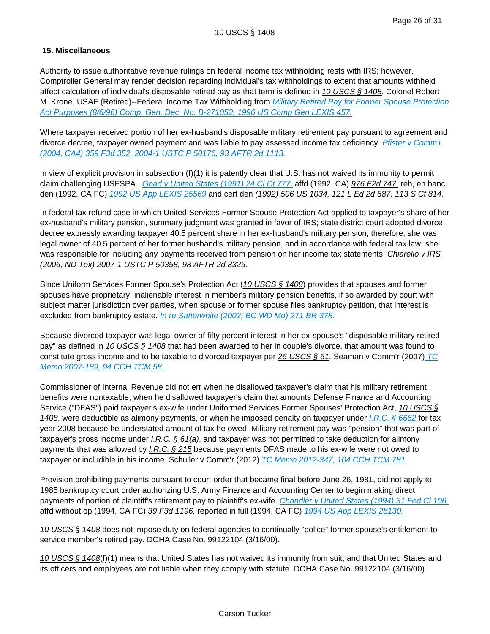## **15. Miscellaneous**

Authority to issue authoritative revenue rulings on federal income tax withholding rests with IRS; however, Comptroller General may render decision regarding individual's tax withholdings to extent that amounts withheld affect calculation of individual's disposable retired pay as that term is defined in 10 USCS § 1408. Colonel Robert M. Krone, USAF (Retired)--Federal Income Tax Withholding from Military Retired Pay for Former Spouse [Protection](http://advance.lexis.com/api/document?collection=administrative-materials&id=urn:contentItem:3T1V-1WT0-000R-20PW-00000-00&context=) Act Purposes (8/6/96) Comp. Gen. Dec. No. [B-271052,](http://advance.lexis.com/api/document?collection=administrative-materials&id=urn:contentItem:3T1V-1WT0-000R-20PW-00000-00&context=) 1996 US Comp Gen LEXIS 457.

Where taxpayer received portion of her ex-husband's disposable military retirement pay pursuant to agreement and divorce decree, taxpayer owned payment and was liable to pay assessed income tax deficiency. Pfister v [Comm'r](http://advance.lexis.com/api/document?collection=cases&id=urn:contentItem:4BT9-JMR0-0038-X0D7-00000-00&context=) (2004, CA4) 359 F3d 352, [2004-1](http://advance.lexis.com/api/document?collection=cases&id=urn:contentItem:4BT9-JMR0-0038-X0D7-00000-00&context=) USTC P 50176, 93 AFTR 2d 1113.

In view of explicit provision in subsection (f)(1) it is patently clear that U.S. has not waived its immunity to permit claim challenging USFSPA. Goad v [United](http://advance.lexis.com/api/document?collection=cases&id=urn:contentItem:3S4X-2110-0039-T0R0-00000-00&context=) States (1991) 24 Cl Ct 777, affd (1992, CA) 976 F2d 747, reh, en banc, den (1992, CA FC) 1992 US App [LEXIS](http://advance.lexis.com/api/document?collection=cases&id=urn:contentItem:3S4V-N5K0-003N-452K-00000-00&context=) 25569 and cert den (1992) 506 US 1034, 121 L Ed 2d 687, 113 S Ct 814.

In federal tax refund case in which United Services Former Spouse Protection Act applied to taxpayer's share of her ex-husband's military pension, summary judgment was granted in favor of IRS; state district court adopted divorce decree expressly awarding taxpayer 40.5 percent share in her ex-husband's military pension; therefore, she was legal owner of 40.5 percent of her former husband's military pension, and in accordance with federal tax law, she was responsible for including any payments received from pension on her income tax statements. Chiarello v IRS (2006, ND Tex) 2007-1 USTC P 50358, 98 AFTR 2d 8325.

Since Uniform Services Former Spouse's Protection Act (10 USCS § 1408) provides that spouses and former spouses have proprietary, inalienable interest in member's military pension benefits, if so awarded by court with subject matter jurisdiction over parties, when spouse or former spouse files bankruptcy petition, that interest is excluded from bankruptcy estate. In re [Satterwhite](http://advance.lexis.com/api/document?collection=cases&id=urn:contentItem:4575-4CN0-0039-0490-00000-00&context=) (2002, BC WD Mo) 271 BR 378.

Because divorced taxpayer was legal owner of fifty percent interest in her ex-spouse's "disposable military retired pay" as defined in 10 USCS § 1408 that had been awarded to her in couple's divorce, that amount was found to constitute gross income and to be taxable to divorced taxpayer per  $26$  USCS § 61. Seaman v Comm'r (2007) [TC](http://advance.lexis.com/api/document?collection=cases&id=urn:contentItem:4P6V-3690-TX4N-G2M6-00000-00&context=) Memo [2007-189,](http://advance.lexis.com/api/document?collection=cases&id=urn:contentItem:4P6V-3690-TX4N-G2M6-00000-00&context=) 94 CCH TCM 58.

Commissioner of Internal Revenue did not err when he disallowed taxpayer's claim that his military retirement benefits were nontaxable, when he disallowed taxpayer's claim that amounts Defense Finance and Accounting Service ("DFAS") paid taxpayer's ex-wife under Uniformed Services Former Spouses' Protection Act, 10 USCS § 1408, were deductible as alimony payments, or when he imposed penalty on taxpayer under *[I.R.C.](http://advance.lexis.com/api/document?collection=statutes-legislation&id=urn:contentItem:4YF7-GT81-NRF4-407B-00000-00&context=)* § 6662 for tax year 2008 because he understated amount of tax he owed. Military retirement pay was "pension" that was part of taxpayer's gross income under *I.R.C. § 61(a)*, and taxpayer was not permitted to take deduction for alimony payments that was allowed by  $I.R.C.$   $§$  215 because payments DFAS made to his ex-wife were not owed to taxpayer or includible in his income. Schuller v Comm'r (2012) TC Memo [2012-347,](http://advance.lexis.com/api/document?collection=cases&id=urn:contentItem:579G-8TG1-F04K-6090-00000-00&context=) 104 CCH TCM 781.

Provision prohibiting payments pursuant to court order that became final before June 26, 1981, did not apply to 1985 bankruptcy court order authorizing U.S. Army Finance and Accounting Center to begin making direct payments of portion of plaintiff's retirement pay to plaintiff's ex-wife. [Chandler](http://advance.lexis.com/api/document?collection=cases&id=urn:contentItem:3S4X-34S0-006P-F11H-00000-00&context=) v United States (1994) 31 Fed Cl 106, affd without op (1994, CA FC) 39 F3d 1196, reported in full (1994, CA FC) 1994 US App LEXIS [28130.](http://advance.lexis.com/api/document?collection=cases&id=urn:contentItem:3S4V-MJW0-003N-40HH-00000-00&context=)

10 USCS § 1408 does not impose duty on federal agencies to continually "police" former spouse's entitlement to service member's retired pay. DOHA Case No. 99122104 (3/16/00).

10 USCS § 1408(f)(1) means that United States has not waived its immunity from suit, and that United States and its officers and employees are not liable when they comply with statute. DOHA Case No. 99122104 (3/16/00).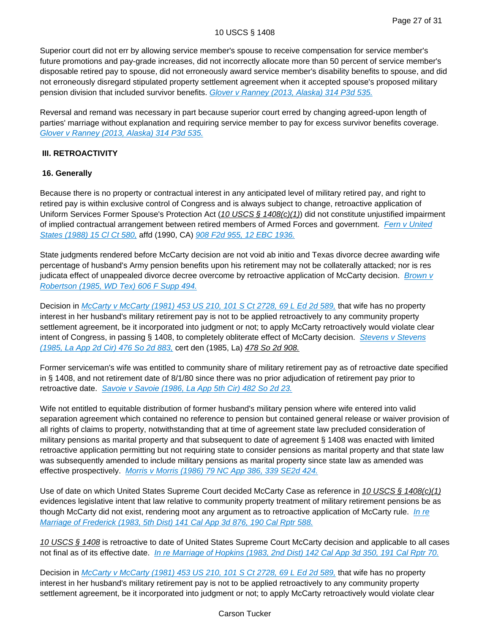Superior court did not err by allowing service member's spouse to receive compensation for service member's future promotions and pay-grade increases, did not incorrectly allocate more than 50 percent of service member's disposable retired pay to spouse, did not erroneously award service member's disability benefits to spouse, and did not erroneously disregard stipulated property settlement agreement when it accepted spouse's proposed military pension division that included survivor benefits. Glover v [Ranney](http://advance.lexis.com/api/document?collection=cases&id=urn:contentItem:5B22-GKY1-F048-802F-00000-00&context=) (2013, Alaska) 314 P3d 535.

Reversal and remand was necessary in part because superior court erred by changing agreed-upon length of parties' marriage without explanation and requiring service member to pay for excess survivor benefits coverage. Glover v [Ranney](http://advance.lexis.com/api/document?collection=cases&id=urn:contentItem:5B22-GKY1-F048-802F-00000-00&context=) (2013, Alaska) 314 P3d 535.

## **III. RETROACTIVITY**

#### **16. Generally**

Because there is no property or contractual interest in any anticipated level of military retired pay, and right to retired pay is within exclusive control of Congress and is always subject to change, retroactive application of Uniform Services Former Spouse's Protection Act (10 USCS § 1408(c)(1)) did not constitute unjustified impairment of implied contractual arrangement between retired members of Armed Forces and government. Fern v [United](http://advance.lexis.com/api/document?collection=cases&id=urn:contentItem:3S4X-2C10-003B-8156-00000-00&context=) States [\(1988\)](http://advance.lexis.com/api/document?collection=cases&id=urn:contentItem:3S4X-2C10-003B-8156-00000-00&context=) 15 Cl Ct 580, affd (1990, CA) 908 F2d 955, 12 EBC [1936.](http://advance.lexis.com/api/document?collection=cases&id=urn:contentItem:3S4V-JD60-0039-V0N3-00000-00&context=)

State judgments rendered before McCarty decision are not void ab initio and Texas divorce decree awarding wife percentage of husband's Army pension benefits upon his retirement may not be collaterally attacked; nor is res judicata effect of unappealed divorce decree overcome by retroactive application of McCarty decision. [Brown](http://advance.lexis.com/api/document?collection=cases&id=urn:contentItem:3S4N-FXJ0-0039-R4H0-00000-00&context=) v [Robertson](http://advance.lexis.com/api/document?collection=cases&id=urn:contentItem:3S4N-FXJ0-0039-R4H0-00000-00&context=) (1985, WD Tex) 606 F Supp 494.

Decision in [McCarty](http://advance.lexis.com/api/document?collection=cases&id=urn:contentItem:3S4X-69N0-003B-S07V-00000-00&context=) v McCarty (1981) 453 US 210, 101 S Ct 2728, 69 L Ed 2d 589, that wife has no property interest in her husband's military retirement pay is not to be applied retroactively to any community property settlement agreement, be it incorporated into judgment or not; to apply McCarty retroactively would violate clear intent of Congress, in passing § 1408, to completely obliterate effect of McCarty decision. [Stevens](http://advance.lexis.com/api/document?collection=cases&id=urn:contentItem:3S3K-4X30-008T-X297-00000-00&context=) v Stevens [\(1985,](http://advance.lexis.com/api/document?collection=cases&id=urn:contentItem:3S3K-4X30-008T-X297-00000-00&context=) La App 2d Cir) 476 So 2d 883, cert den (1985, La) 478 So 2d 908.

Former serviceman's wife was entitled to community share of military retirement pay as of retroactive date specified in § 1408, and not retirement date of 8/1/80 since there was no prior adjudication of retirement pay prior to retroactive date. [Savoie](http://advance.lexis.com/api/document?collection=cases&id=urn:contentItem:3RX6-JFV0-003G-N409-00000-00&context=) v Savoie (1986, La App 5th Cir) 482 So 2d 23.

Wife not entitled to equitable distribution of former husband's military pension where wife entered into valid separation agreement which contained no reference to pension but contained general release or waiver provision of all rights of claims to property, notwithstanding that at time of agreement state law precluded consideration of military pensions as marital property and that subsequent to date of agreement § 1408 was enacted with limited retroactive application permitting but not requiring state to consider pensions as marital property and that state law was subsequently amended to include military pensions as marital property since state law as amended was effective prospectively. Morris v Morris [\(1986\)](http://advance.lexis.com/api/document?collection=cases&id=urn:contentItem:3S3K-0PK0-003G-01YY-00000-00&context=) 79 NC App 386, 339 SE2d 424.

Use of date on which United States Supreme Court decided McCarty Case as reference in 10 USCS § 1408(c)(1) evidences legislative intent that law relative to community property treatment of military retirement pensions be as though McCarty did not exist, [re](http://advance.lexis.com/api/document?collection=cases&id=urn:contentItem:3RX6-M9T0-003D-J3NP-00000-00&context=)ndering moot any argument as to retroactive application of McCarty rule. In re Marriage of [Frederick](http://advance.lexis.com/api/document?collection=cases&id=urn:contentItem:3RX6-M9T0-003D-J3NP-00000-00&context=) (1983, 5th Dist) 141 Cal App 3d 876, 190 Cal Rptr 588.

10 USCS § 1408 is retroactive to date of United States Supreme Court McCarty decision and applicable to all cases not final as of its effective date. In re [Marriage](http://advance.lexis.com/api/document?collection=cases&id=urn:contentItem:3RX6-M9J0-003D-J3M1-00000-00&context=) of Hopkins (1983, 2nd Dist) 142 Cal App 3d 350, 191 Cal Rptr 70.

Decision in [McCarty](http://advance.lexis.com/api/document?collection=cases&id=urn:contentItem:3S4X-69N0-003B-S07V-00000-00&context=) v McCarty (1981) 453 US 210, 101 S Ct 2728, 69 L Ed 2d 589, that wife has no property interest in her husband's military retirement pay is not to be applied retroactively to any community property settlement agreement, be it incorporated into judgment or not; to apply McCarty retroactively would violate clear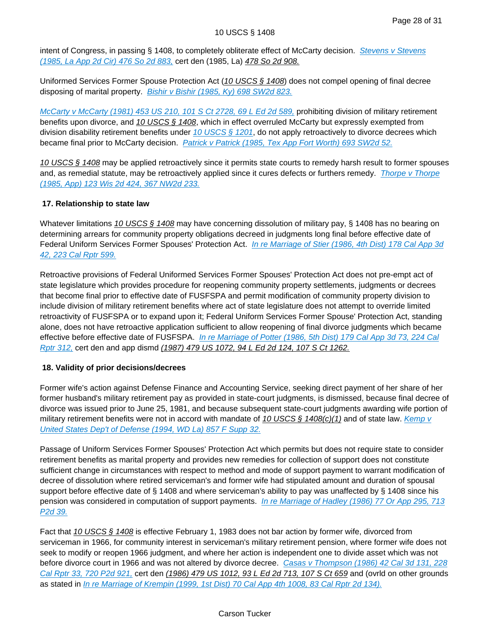intent of Congress, in passing § 1408, to completely obliterate effect of McCarty decision. [Stevens](http://advance.lexis.com/api/document?collection=cases&id=urn:contentItem:3S3K-4X30-008T-X297-00000-00&context=) v Stevens [\(1985,](http://advance.lexis.com/api/document?collection=cases&id=urn:contentItem:3S3K-4X30-008T-X297-00000-00&context=) La App 2d Cir) 476 So 2d 883, cert den (1985, La) 478 So 2d 908.

Uniformed Services Former Spouse Protection Act (10 USCS § 1408) does not compel opening of final decree disposing of marital property. Bishir v Bishir [\(1985,](http://advance.lexis.com/api/document?collection=cases&id=urn:contentItem:3RX8-C9K0-003F-P21T-00000-00&context=) Ky) 698 SW2d 823.

[McCarty](http://advance.lexis.com/api/document?collection=cases&id=urn:contentItem:3S4X-69N0-003B-S07V-00000-00&context=) v McCarty (1981) 453 US 210, 101 S Ct 2728, 69 L Ed 2d 589, prohibiting division of military retirement benefits upon divorce, and 10 USCS § 1408, which in effect overruled McCarty but expressly exempted from division disability retirement benefits under 10 [USCS](http://advance.lexis.com/api/document?collection=statutes-legislation&id=urn:contentItem:4YF7-GKW1-NRF4-440S-00000-00&context=)  $\S$  1201, do not apply retroactively to divorce decrees which became final prior to McCarty decision. [Patrick](http://advance.lexis.com/api/document?collection=cases&id=urn:contentItem:3S3K-42P0-003C-21GX-00000-00&context=) v Patrick (1985, Tex App Fort Worth) 693 SW2d 52.

10 USCS § 1408 may be applied retroactively since it permits state courts to remedy harsh result to former spouses and, as remedial statute, may be retroactively applied since it cures defects or furthers remedy. [Thorpe](http://advance.lexis.com/api/document?collection=cases&id=urn:contentItem:3S3J-YTT0-003G-32VR-00000-00&context=) v Thorpe [\(1985,](http://advance.lexis.com/api/document?collection=cases&id=urn:contentItem:3S3J-YTT0-003G-32VR-00000-00&context=) App) 123 Wis 2d 424, 367 NW2d 233.

#### **17. Relationship to state law**

Whatever limitations 10 USCS § 1408 may have concerning dissolution of military pay, § 1408 has no bearing on determining arrears for community property obligations decreed in judgments long final before effective date of Federal Uniform Services Former Spouses' Protection Act. In re [Marriage](http://advance.lexis.com/api/document?collection=cases&id=urn:contentItem:3RX6-K740-003D-J3T5-00000-00&context=) of Stier (1986, 4th Dist) 178 Cal App 3d 42, 223 Cal Rptr [599.](http://advance.lexis.com/api/document?collection=cases&id=urn:contentItem:3RX6-K740-003D-J3T5-00000-00&context=)

Retroactive provisions of Federal Uniformed Services Former Spouses' Protection Act does not pre-empt act of state legislature which provides procedure for reopening community property settlements, judgments or decrees that become final prior to effective date of FUSFSPA and permit modification of community property division to include division of military retirement benefits where act of state legislature does not attempt to override limited retroactivity of FUSFSPA or to expand upon it; Federal Uniform Services Former Spouse' Protection Act, standing alone, does not have retroactive application sufficient to allow reopening of final divorce judgments which became effective before effective date of FUSFSPA. In re [Marriage](http://advance.lexis.com/api/document?collection=cases&id=urn:contentItem:3RX6-K660-003D-J3N0-00000-00&context=) of Potter (1986, 5th Dist) 179 Cal App 3d 73, 224 Cal Rptr [312,](http://advance.lexis.com/api/document?collection=cases&id=urn:contentItem:3RX6-K660-003D-J3N0-00000-00&context=) cert den and app dismd (1987) 479 US 1072, 94 L Ed 2d 124, 107 S Ct 1262.

## **18. Validity of prior decisions/decrees**

Former wife's action against Defense Finance and Accounting Service, seeking direct payment of her share of her former husband's military retirement pay as provided in state-court judgments, is dismissed, because final decree of divorce was issued prior to June 25, 1981, and because subsequent state-court judgments awarding wife portion of military retirement benefits were not in accord with mandate of 10 USCS § 1408(c)(1) and of state law. [Kemp](http://advance.lexis.com/api/document?collection=cases&id=urn:contentItem:3S4N-KFK0-003B-V1FF-00000-00&context=) v United States Dep't of [Defense](http://advance.lexis.com/api/document?collection=cases&id=urn:contentItem:3S4N-KFK0-003B-V1FF-00000-00&context=) (1994, WD La) 857 F Supp 32.

Passage of Uniform Services Former Spouses' Protection Act which permits but does not require state to consider retirement benefits as marital property and provides new remedies for collection of support does not constitute sufficient change in circumstances with respect to method and mode of support payment to warrant modification of decree of dissolution where retired serviceman's and former wife had stipulated amount and duration of spousal support before effective date of § 1408 and where serviceman's ability to pay was unaffected by § 1408 since his pension was considered in computation of support payments. In re [Marriage](http://advance.lexis.com/api/document?collection=cases&id=urn:contentItem:3S3J-YPT0-003F-Y2WR-00000-00&context=) of Hadley (1986) 77 Or App 295, 713 [P2d](http://advance.lexis.com/api/document?collection=cases&id=urn:contentItem:3S3J-YPT0-003F-Y2WR-00000-00&context=) 39.

Fact that 10 USCS § 1408 is effective February 1, 1983 does not bar action by former wife, divorced from serviceman in 1966, for community interest in serviceman's military retirement pension, where former wife does not seek to modify or reopen 1966 judgment, and where her action is independent one to divide asset which was not before divorce court in 1966 and was not altered by divorce decree. Casas v [Thompson](http://advance.lexis.com/api/document?collection=cases&id=urn:contentItem:3RX4-CV50-003D-J17D-00000-00&context=) (1986) 42 Cal 3d 131, 228 Cal Rptr 33, 720 P2d [921,](http://advance.lexis.com/api/document?collection=cases&id=urn:contentItem:3RX4-CV50-003D-J17D-00000-00&context=) cert den (1986) 479 US 1012, 93 L Ed 2d 713, 107 S Ct 659 and (ovrld on other grounds as stated in In re [Marriage](http://advance.lexis.com/api/document?collection=cases&id=urn:contentItem:3W25-77P0-0039-41G5-00000-00&context=) of Krempin (1999, 1st Dist) 70 Cal App 4th 1008, 83 Cal Rptr 2d 134).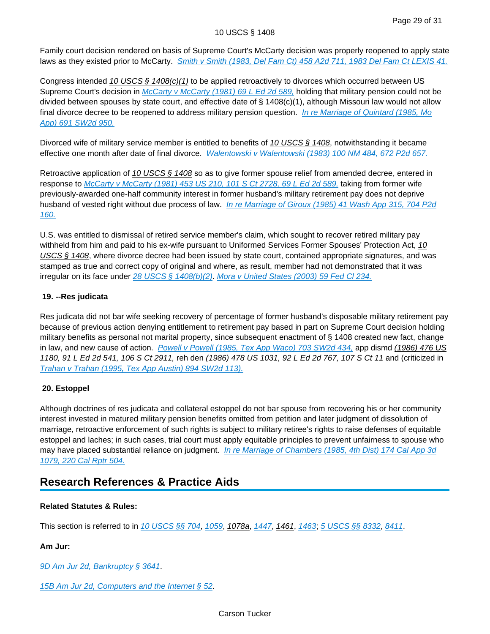Family court decision rendered on basis of Supreme Court's McCarty decision was properly reopened to apply state laws as they existed prior to McCarty. Smith v Smith [\(1983,](http://advance.lexis.com/api/document?collection=cases&id=urn:contentItem:3RRT-C7V0-003C-K53R-00000-00&context=) Del Fam Ct) 458 A2d 711, 1983 Del Fam Ct LEXIS 41.

Congress intended 10 USCS  $\S$  1408(c)(1) to be applied retroactively to divorces which occurred between US Supreme Court's decision in [McCarty](http://advance.lexis.com/api/document?collection=cases&id=urn:contentItem:3S4X-69N0-003B-S07V-00000-00&context=) v McCarty (1981) 69 L Ed 2d 589, holding that military pension could not be divided between spouses by state court, and effective date of § 1408(c)(1), although Missouri law would not allow final divorce decree to be reopened to address military pension question. In re [Marriage](http://advance.lexis.com/api/document?collection=cases&id=urn:contentItem:3RX4-C9C0-003F-C2R6-00000-00&context=) of Quintard (1985, Mo App) 691 [SW2d](http://advance.lexis.com/api/document?collection=cases&id=urn:contentItem:3RX4-C9C0-003F-C2R6-00000-00&context=) 950.

Divorced wife of military service member is entitled to benefits of 10 USCS § 1408, notwithstanding it became effective one month after date of final divorce. [Walentowski](http://advance.lexis.com/api/document?collection=cases&id=urn:contentItem:3S3J-W6T0-003D-D0W3-00000-00&context=) v Walentowski (1983) 100 NM 484, 672 P2d 657.

Retroactive application of 10 USCS § 1408 so as to give former spouse relief from amended decree, entered in response to [McCarty](http://advance.lexis.com/api/document?collection=cases&id=urn:contentItem:3S4X-69N0-003B-S07V-00000-00&context=) v McCarty (1981) 453 US 210, 101 S Ct 2728, 69 L Ed 2d 589, taking from former wife previously-awarded one-half community interest in former husband's military retirement pay does not deprive husband of vested right without due process of law. In re [Marriage](http://advance.lexis.com/api/document?collection=cases&id=urn:contentItem:3S3J-XH00-003F-W2D1-00000-00&context=) of Giroux (1985) 41 Wash App 315, 704 P2d [160.](http://advance.lexis.com/api/document?collection=cases&id=urn:contentItem:3S3J-XH00-003F-W2D1-00000-00&context=)

U.S. was entitled to dismissal of retired service member's claim, which sought to recover retired military pay withheld from him and paid to his ex-wife pursuant to Uniformed Services Former Spouses' Protection Act, 10 USCS § 1408, where divorce decree had been issued by state court, contained appropriate signatures, and was stamped as true and correct copy of original and where, as result, member had not demonstrated that it was irregular on its face under  $28$  USCS § [1408\(b\)\(2\)](http://advance.lexis.com/api/document?collection=statutes-legislation&id=urn:contentItem:4YF7-GJ31-NRF4-41R7-00000-00&context=). Mora v [United](http://advance.lexis.com/api/document?collection=cases&id=urn:contentItem:4BDD-2YH0-0004-S1V4-00000-00&context=) States (2003) 59 Fed Cl 234.

## **19. --Res judicata**

Res judicata did not bar wife seeking recovery of percentage of former husband's disposable military retirement pay because of previous action denying entitlement to retirement pay based in part on Supreme Court decision holding military benefits as personal not marital property, since subsequent enactment of § 1408 created new fact, change in law, and new cause of action. [Powell](http://advance.lexis.com/api/document?collection=cases&id=urn:contentItem:3S3K-4630-003C-2326-00000-00&context=) v Powell (1985, Tex App Waco) 703 SW2d 434, app dismd (1986) 476 US 1180, 91 L Ed 2d 541, 106 S Ct 2911, reh den (1986) 478 US 1031, 92 L Ed 2d 767, 107 S Ct 11 and (criticized in [Trahan](http://advance.lexis.com/api/document?collection=cases&id=urn:contentItem:3S3K-0H60-003C-23H4-00000-00&context=) v Trahan (1995, Tex App Austin) 894 SW2d 113).

## **20. Estoppel**

Although doctrines of res judicata and collateral estoppel do not bar spouse from recovering his or her community interest invested in matured military pension benefits omitted from petition and later judgment of dissolution of marriage, retroactive enforcement of such rights is subject to military retiree's rights to raise defenses of equitable estoppel and laches; in such cases, trial court must apply equitable principles to prevent unfairness to spouse who may have placed substantial reliance on judgment. In re Marriage of [Chambers](http://advance.lexis.com/api/document?collection=cases&id=urn:contentItem:3RX6-KB10-003D-J47K-00000-00&context=) (1985, 4th Dist) 174 Cal App 3d [1079,](http://advance.lexis.com/api/document?collection=cases&id=urn:contentItem:3RX6-KB10-003D-J47K-00000-00&context=) 220 Cal Rptr 504.

# **Research References & Practice Aids**

## **Related Statutes & Rules:**

This section is referred to in 10 [USCS](http://advance.lexis.com/api/document?collection=statutes-legislation&id=urn:contentItem:4YF7-GTM1-NRF4-43NJ-00000-00&context=) §§ 704, [1059](http://advance.lexis.com/api/document?collection=statutes-legislation&id=urn:contentItem:4YF7-GTX1-NRF4-4190-00000-00&context=), 1078a, [1447](http://advance.lexis.com/api/document?collection=statutes-legislation&id=urn:contentItem:4YF7-GW41-NRF4-42V8-00000-00&context=), 1461, [1463](http://advance.lexis.com/api/document?collection=statutes-legislation&id=urn:contentItem:4YF7-GTF1-NRF4-4233-00000-00&context=), 5 USCS §§ 8332, [8411](http://advance.lexis.com/api/document?collection=statutes-legislation&id=urn:contentItem:4YF7-GSN1-NRF4-44SG-00000-00&context=).

## **Am Jur:**

9D Am Jur 2d, [Bankruptcy](http://advance.lexis.com/api/document?collection=analytical-materials&id=urn:contentItem:5KFR-H1B0-02MV-13PV-00000-00&context=) § 3641.

15B Am Jur 2d, [Computers](http://advance.lexis.com/api/document?collection=analytical-materials&id=urn:contentItem:5KFR-H1R0-02MV-11C0-00000-00&context=) and the Internet § 52.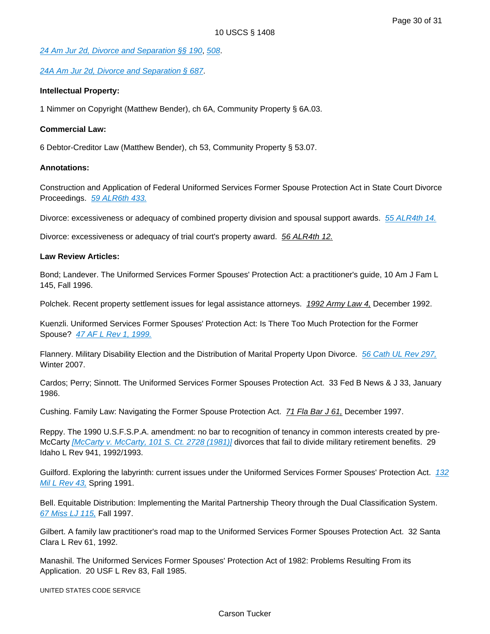24 Am Jur 2d, Divorce and [Separation](http://advance.lexis.com/api/document?collection=analytical-materials&id=urn:contentItem:5KFR-H2D0-02MV-119V-00000-00&context=) §§ 190, [508](http://advance.lexis.com/api/document?collection=analytical-materials&id=urn:contentItem:5KFR-H2D0-02MV-11R6-00000-00&context=).

24A Am Jur 2d, Divorce and [Separation](http://advance.lexis.com/api/document?collection=analytical-materials&id=urn:contentItem:5KFR-H2F0-02MV-11YK-00000-00&context=) § 687.

#### **Intellectual Property:**

1 Nimmer on Copyright (Matthew Bender), ch 6A, Community Property § 6A.03.

#### **Commercial Law:**

6 Debtor-Creditor Law (Matthew Bender), ch 53, Community Property § 53.07.

#### **Annotations:**

Construction and Application of Federal Uniformed Services Former Spouse Protection Act in State Court Divorce Proceedings. 59 [ALR6th](http://advance.lexis.com/api/document?collection=analytical-materials&id=urn:contentItem:5M3K-2DS0-00YK-3563-00000-00&context=) 433.

Divorce: excessiveness or adequacy of combined property division and spousal support awards. 55 [ALR4th](http://advance.lexis.com/api/document?collection=analytical-materials&id=urn:contentItem:5K8K-22R0-00CR-126B-00000-00&context=) 14.

Divorce: excessiveness or adequacy of trial court's property award. 56 ALR4th 12.

#### **Law Review Articles:**

Bond; Landever. The Uniformed Services Former Spouses' Protection Act: a practitioner's guide, 10 Am J Fam L 145, Fall 1996.

Polchek. Recent property settlement issues for legal assistance attorneys. 1992 Army Law 4, December 1992.

Kuenzli. Uniformed Services Former Spouses' Protection Act: Is There Too Much Protection for the Former Spouse? 47 AF L Rev 1, [1999.](http://advance.lexis.com/api/document?collection=analytical-materials&id=urn:contentItem:3YS7-K120-00CT-W0YH-00000-00&context=)

Flannery. Military Disability Election and the Distribution of Marital Property Upon Divorce. 56 [Cath](http://advance.lexis.com/api/document?collection=analytical-materials&id=urn:contentItem:4NVS-H2N0-00CW-B09R-00000-00&context=) UL Rev 297, Winter 2007.

Cardos; Perry; Sinnott. The Uniformed Services Former Spouses Protection Act. 33 Fed B News & J 33, January 1986.

Cushing. Family Law: Navigating the Former Spouse Protection Act. 71 Fla Bar J 61, December 1997.

Reppy. The 1990 U.S.F.S.P.A. amendment: no bar to recognition of tenancy in common interests created by pre-McCarty [\[McCarty](http://advance.lexis.com/api/document?collection=cases&id=urn:contentItem:3S4X-69N0-003B-S07V-00000-00&context=) v. McCarty, 101 S. Ct. 2728 (1981)] divorces that fail to divide military retirement benefits. 29 Idaho L Rev 941, 1992/1993.

Guilford. Exploring the labyrinth: current issues under the Uniformed Services Former Spouses' Protection Act. [132](http://advance.lexis.com/api/document?collection=analytical-materials&id=urn:contentItem:3S3T-Y1N0-00CW-B0B6-00000-00&context=) Mil L [Rev](http://advance.lexis.com/api/document?collection=analytical-materials&id=urn:contentItem:3S3T-Y1N0-00CW-B0B6-00000-00&context=) 43, Spring 1991.

Bell. Equitable Distribution: Implementing the Marital Partnership Theory through the Dual Classification System. 67 [Miss](http://advance.lexis.com/api/document?collection=analytical-materials&id=urn:contentItem:3SPF-TH30-00CW-F152-00000-00&context=) LJ 115, Fall 1997.

Gilbert. A family law practitioner's road map to the Uniformed Services Former Spouses Protection Act. 32 Santa Clara L Rev 61, 1992.

Manashil. The Uniformed Services Former Spouses' Protection Act of 1982: Problems Resulting From its Application. 20 USF L Rev 83, Fall 1985.

UNITED STATES CODE SERVICE